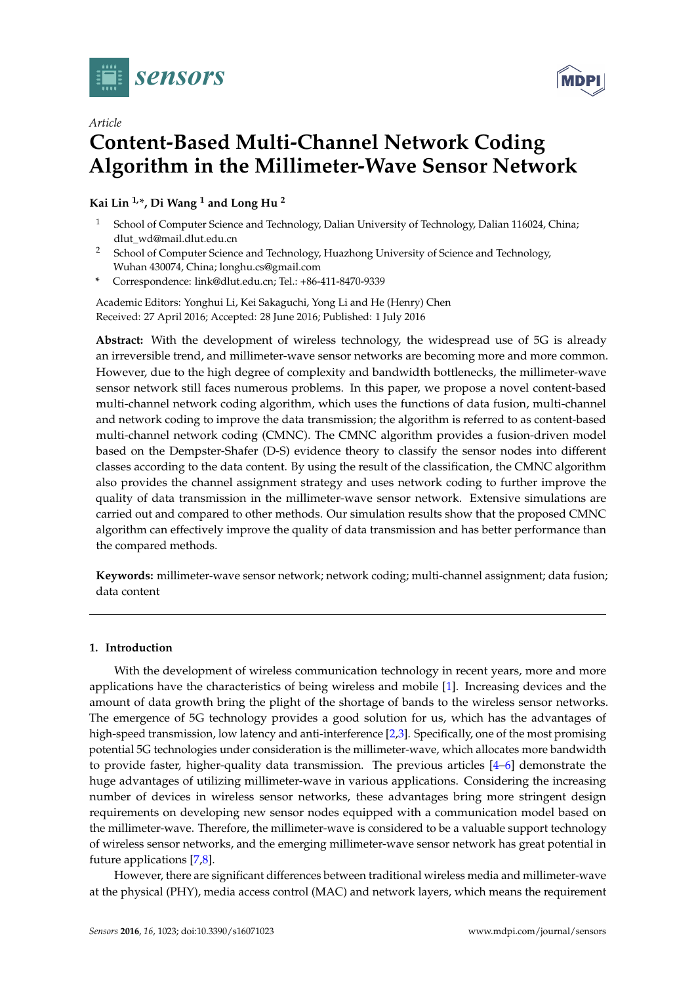

*Article*



# **Content-Based Multi-Channel Network Coding Algorithm in the Millimeter-Wave Sensor Network**

**Kai Lin 1,\*, Di Wang <sup>1</sup> and Long Hu <sup>2</sup>**

- <sup>1</sup> School of Computer Science and Technology, Dalian University of Technology, Dalian 116024, China; dlut\_wd@mail.dlut.edu.cn
- <sup>2</sup> School of Computer Science and Technology, Huazhong University of Science and Technology, Wuhan 430074, China; longhu.cs@gmail.com
- **\*** Correspondence: link@dlut.edu.cn; Tel.: +86-411-8470-9339

Academic Editors: Yonghui Li, Kei Sakaguchi, Yong Li and He (Henry) Chen Received: 27 April 2016; Accepted: 28 June 2016; Published: 1 July 2016

**Abstract:** With the development of wireless technology, the widespread use of 5G is already an irreversible trend, and millimeter-wave sensor networks are becoming more and more common. However, due to the high degree of complexity and bandwidth bottlenecks, the millimeter-wave sensor network still faces numerous problems. In this paper, we propose a novel content-based multi-channel network coding algorithm, which uses the functions of data fusion, multi-channel and network coding to improve the data transmission; the algorithm is referred to as content-based multi-channel network coding (CMNC). The CMNC algorithm provides a fusion-driven model based on the Dempster-Shafer (D-S) evidence theory to classify the sensor nodes into different classes according to the data content. By using the result of the classification, the CMNC algorithm also provides the channel assignment strategy and uses network coding to further improve the quality of data transmission in the millimeter-wave sensor network. Extensive simulations are carried out and compared to other methods. Our simulation results show that the proposed CMNC algorithm can effectively improve the quality of data transmission and has better performance than the compared methods.

**Keywords:** millimeter-wave sensor network; network coding; multi-channel assignment; data fusion; data content

# **1. Introduction**

With the development of wireless communication technology in recent years, more and more applications have the characteristics of being wireless and mobile [\[1\]](#page-19-0). Increasing devices and the amount of data growth bring the plight of the shortage of bands to the wireless sensor networks. The emergence of 5G technology provides a good solution for us, which has the advantages of high-speed transmission, low latency and anti-interference [\[2,](#page-19-1)[3\]](#page-19-2). Specifically, one of the most promising potential 5G technologies under consideration is the millimeter-wave, which allocates more bandwidth to provide faster, higher-quality data transmission. The previous articles [\[4](#page-19-3)[–6\]](#page-19-4) demonstrate the huge advantages of utilizing millimeter-wave in various applications. Considering the increasing number of devices in wireless sensor networks, these advantages bring more stringent design requirements on developing new sensor nodes equipped with a communication model based on the millimeter-wave. Therefore, the millimeter-wave is considered to be a valuable support technology of wireless sensor networks, and the emerging millimeter-wave sensor network has great potential in future applications [\[7,](#page-19-5)[8\]](#page-19-6).

However, there are significant differences between traditional wireless media and millimeter-wave at the physical (PHY), media access control (MAC) and network layers, which means the requirement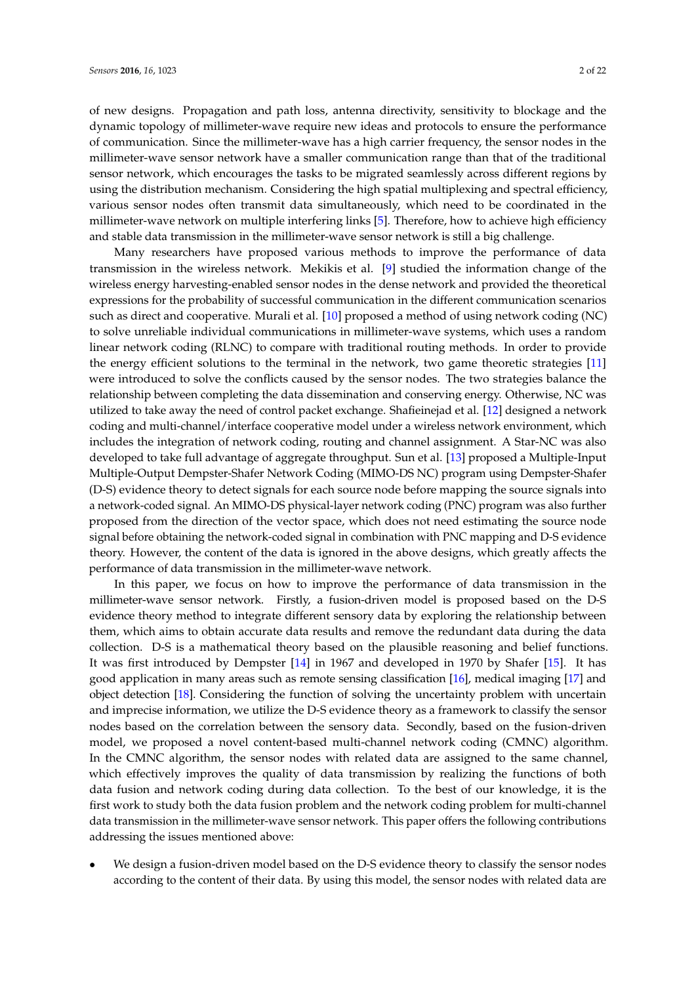of new designs. Propagation and path loss, antenna directivity, sensitivity to blockage and the dynamic topology of millimeter-wave require new ideas and protocols to ensure the performance of communication. Since the millimeter-wave has a high carrier frequency, the sensor nodes in the millimeter-wave sensor network have a smaller communication range than that of the traditional sensor network, which encourages the tasks to be migrated seamlessly across different regions by using the distribution mechanism. Considering the high spatial multiplexing and spectral efficiency, various sensor nodes often transmit data simultaneously, which need to be coordinated in the millimeter-wave network on multiple interfering links [\[5\]](#page-19-7). Therefore, how to achieve high efficiency and stable data transmission in the millimeter-wave sensor network is still a big challenge.

Many researchers have proposed various methods to improve the performance of data transmission in the wireless network. Mekikis et al. [\[9\]](#page-20-0) studied the information change of the wireless energy harvesting-enabled sensor nodes in the dense network and provided the theoretical expressions for the probability of successful communication in the different communication scenarios such as direct and cooperative. Murali et al. [\[10\]](#page-20-1) proposed a method of using network coding (NC) to solve unreliable individual communications in millimeter-wave systems, which uses a random linear network coding (RLNC) to compare with traditional routing methods. In order to provide the energy efficient solutions to the terminal in the network, two game theoretic strategies [\[11\]](#page-20-2) were introduced to solve the conflicts caused by the sensor nodes. The two strategies balance the relationship between completing the data dissemination and conserving energy. Otherwise, NC was utilized to take away the need of control packet exchange. Shafieinejad et al. [\[12\]](#page-20-3) designed a network coding and multi-channel/interface cooperative model under a wireless network environment, which includes the integration of network coding, routing and channel assignment. A Star-NC was also developed to take full advantage of aggregate throughput. Sun et al. [\[13\]](#page-20-4) proposed a Multiple-Input Multiple-Output Dempster-Shafer Network Coding (MIMO-DS NC) program using Dempster-Shafer (D-S) evidence theory to detect signals for each source node before mapping the source signals into a network-coded signal. An MIMO-DS physical-layer network coding (PNC) program was also further proposed from the direction of the vector space, which does not need estimating the source node signal before obtaining the network-coded signal in combination with PNC mapping and D-S evidence theory. However, the content of the data is ignored in the above designs, which greatly affects the performance of data transmission in the millimeter-wave network.

In this paper, we focus on how to improve the performance of data transmission in the millimeter-wave sensor network. Firstly, a fusion-driven model is proposed based on the D-S evidence theory method to integrate different sensory data by exploring the relationship between them, which aims to obtain accurate data results and remove the redundant data during the data collection. D-S is a mathematical theory based on the plausible reasoning and belief functions. It was first introduced by Dempster [\[14\]](#page-20-5) in 1967 and developed in 1970 by Shafer [\[15\]](#page-20-6). It has good application in many areas such as remote sensing classification [\[16\]](#page-20-7), medical imaging [\[17\]](#page-20-8) and object detection [\[18\]](#page-20-9). Considering the function of solving the uncertainty problem with uncertain and imprecise information, we utilize the D-S evidence theory as a framework to classify the sensor nodes based on the correlation between the sensory data. Secondly, based on the fusion-driven model, we proposed a novel content-based multi-channel network coding (CMNC) algorithm. In the CMNC algorithm, the sensor nodes with related data are assigned to the same channel, which effectively improves the quality of data transmission by realizing the functions of both data fusion and network coding during data collection. To the best of our knowledge, it is the first work to study both the data fusion problem and the network coding problem for multi-channel data transmission in the millimeter-wave sensor network. This paper offers the following contributions addressing the issues mentioned above:

• We design a fusion-driven model based on the D-S evidence theory to classify the sensor nodes according to the content of their data. By using this model, the sensor nodes with related data are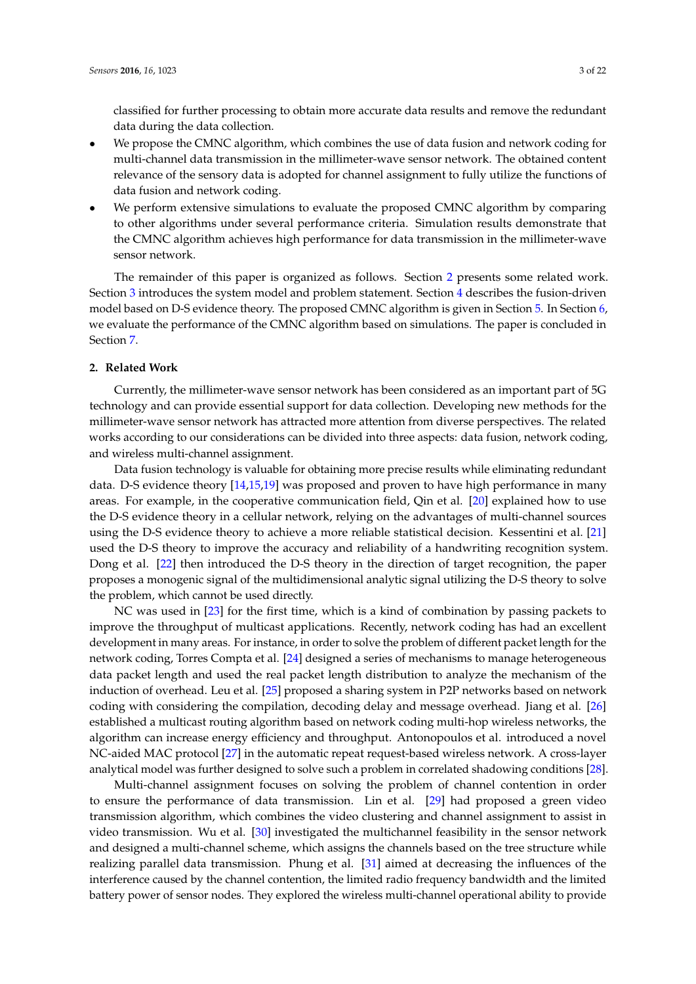classified for further processing to obtain more accurate data results and remove the redundant data during the data collection.

- We propose the CMNC algorithm, which combines the use of data fusion and network coding for multi-channel data transmission in the millimeter-wave sensor network. The obtained content relevance of the sensory data is adopted for channel assignment to fully utilize the functions of data fusion and network coding.
- We perform extensive simulations to evaluate the proposed CMNC algorithm by comparing to other algorithms under several performance criteria. Simulation results demonstrate that the CMNC algorithm achieves high performance for data transmission in the millimeter-wave sensor network.

The remainder of this paper is organized as follows. Section [2](#page-2-0) presents some related work. Section [3](#page-3-0) introduces the system model and problem statement. Section [4](#page-5-0) describes the fusion-driven model based on D-S evidence theory. The proposed CMNC algorithm is given in Section [5.](#page-10-0) In Section [6,](#page-15-0) we evaluate the performance of the CMNC algorithm based on simulations. The paper is concluded in Section [7.](#page-19-8)

# <span id="page-2-0"></span>**2. Related Work**

Currently, the millimeter-wave sensor network has been considered as an important part of 5G technology and can provide essential support for data collection. Developing new methods for the millimeter-wave sensor network has attracted more attention from diverse perspectives. The related works according to our considerations can be divided into three aspects: data fusion, network coding, and wireless multi-channel assignment.

Data fusion technology is valuable for obtaining more precise results while eliminating redundant data. D-S evidence theory [\[14](#page-20-5)[,15](#page-20-6)[,19\]](#page-20-10) was proposed and proven to have high performance in many areas. For example, in the cooperative communication field, Qin et al. [\[20\]](#page-20-11) explained how to use the D-S evidence theory in a cellular network, relying on the advantages of multi-channel sources using the D-S evidence theory to achieve a more reliable statistical decision. Kessentini et al. [\[21\]](#page-20-12) used the D-S theory to improve the accuracy and reliability of a handwriting recognition system. Dong et al. [\[22\]](#page-20-13) then introduced the D-S theory in the direction of target recognition, the paper proposes a monogenic signal of the multidimensional analytic signal utilizing the D-S theory to solve the problem, which cannot be used directly.

NC was used in [\[23\]](#page-20-14) for the first time, which is a kind of combination by passing packets to improve the throughput of multicast applications. Recently, network coding has had an excellent development in many areas. For instance, in order to solve the problem of different packet length for the network coding, Torres Compta et al. [\[24\]](#page-20-15) designed a series of mechanisms to manage heterogeneous data packet length and used the real packet length distribution to analyze the mechanism of the induction of overhead. Leu et al. [\[25\]](#page-20-16) proposed a sharing system in P2P networks based on network coding with considering the compilation, decoding delay and message overhead. Jiang et al. [\[26\]](#page-20-17) established a multicast routing algorithm based on network coding multi-hop wireless networks, the algorithm can increase energy efficiency and throughput. Antonopoulos et al. introduced a novel NC-aided MAC protocol [\[27\]](#page-20-18) in the automatic repeat request-based wireless network. A cross-layer analytical model was further designed to solve such a problem in correlated shadowing conditions [\[28\]](#page-20-19).

Multi-channel assignment focuses on solving the problem of channel contention in order to ensure the performance of data transmission. Lin et al. [\[29\]](#page-20-20) had proposed a green video transmission algorithm, which combines the video clustering and channel assignment to assist in video transmission. Wu et al. [\[30\]](#page-20-21) investigated the multichannel feasibility in the sensor network and designed a multi-channel scheme, which assigns the channels based on the tree structure while realizing parallel data transmission. Phung et al. [\[31\]](#page-20-22) aimed at decreasing the influences of the interference caused by the channel contention, the limited radio frequency bandwidth and the limited battery power of sensor nodes. They explored the wireless multi-channel operational ability to provide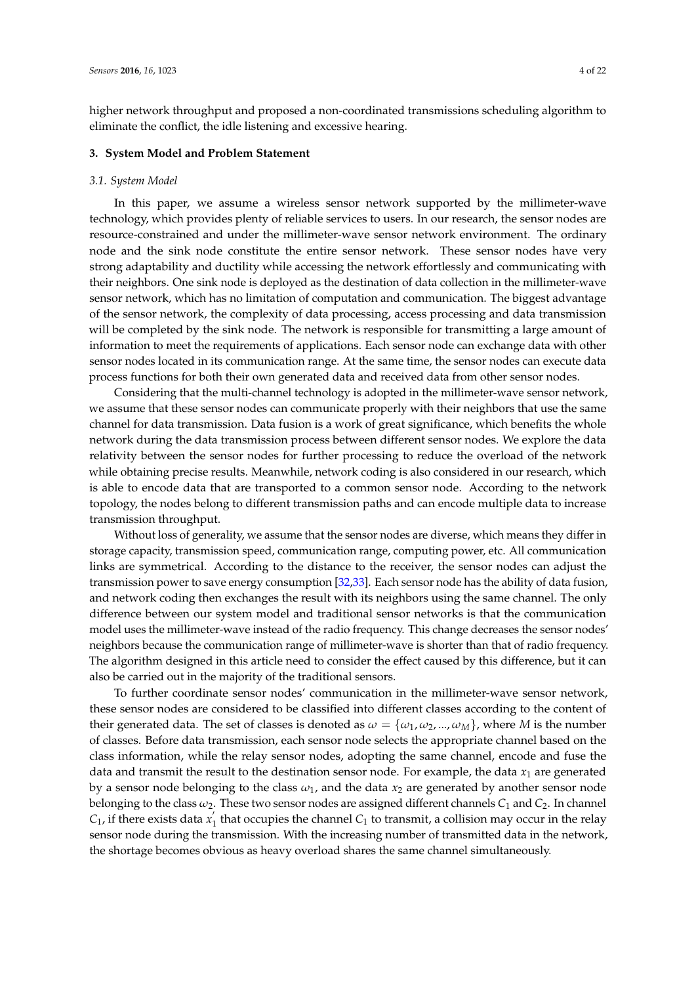higher network throughput and proposed a non-coordinated transmissions scheduling algorithm to eliminate the conflict, the idle listening and excessive hearing.

### <span id="page-3-0"></span>**3. System Model and Problem Statement**

#### *3.1. System Model*

In this paper, we assume a wireless sensor network supported by the millimeter-wave technology, which provides plenty of reliable services to users. In our research, the sensor nodes are resource-constrained and under the millimeter-wave sensor network environment. The ordinary node and the sink node constitute the entire sensor network. These sensor nodes have very strong adaptability and ductility while accessing the network effortlessly and communicating with their neighbors. One sink node is deployed as the destination of data collection in the millimeter-wave sensor network, which has no limitation of computation and communication. The biggest advantage of the sensor network, the complexity of data processing, access processing and data transmission will be completed by the sink node. The network is responsible for transmitting a large amount of information to meet the requirements of applications. Each sensor node can exchange data with other sensor nodes located in its communication range. At the same time, the sensor nodes can execute data process functions for both their own generated data and received data from other sensor nodes.

Considering that the multi-channel technology is adopted in the millimeter-wave sensor network, we assume that these sensor nodes can communicate properly with their neighbors that use the same channel for data transmission. Data fusion is a work of great significance, which benefits the whole network during the data transmission process between different sensor nodes. We explore the data relativity between the sensor nodes for further processing to reduce the overload of the network while obtaining precise results. Meanwhile, network coding is also considered in our research, which is able to encode data that are transported to a common sensor node. According to the network topology, the nodes belong to different transmission paths and can encode multiple data to increase transmission throughput.

Without loss of generality, we assume that the sensor nodes are diverse, which means they differ in storage capacity, transmission speed, communication range, computing power, etc. All communication links are symmetrical. According to the distance to the receiver, the sensor nodes can adjust the transmission power to save energy consumption [\[32](#page-21-0)[,33\]](#page-21-1). Each sensor node has the ability of data fusion, and network coding then exchanges the result with its neighbors using the same channel. The only difference between our system model and traditional sensor networks is that the communication model uses the millimeter-wave instead of the radio frequency. This change decreases the sensor nodes' neighbors because the communication range of millimeter-wave is shorter than that of radio frequency. The algorithm designed in this article need to consider the effect caused by this difference, but it can also be carried out in the majority of the traditional sensors.

To further coordinate sensor nodes' communication in the millimeter-wave sensor network, these sensor nodes are considered to be classified into different classes according to the content of their generated data. The set of classes is denoted as  $\omega = {\omega_1, \omega_2, ..., \omega_M}$ , where *M* is the number of classes. Before data transmission, each sensor node selects the appropriate channel based on the class information, while the relay sensor nodes, adopting the same channel, encode and fuse the data and transmit the result to the destination sensor node. For example, the data  $x_1$  are generated by a sensor node belonging to the class  $\omega_1$ , and the data  $x_2$  are generated by another sensor node belonging to the class  $\omega_2$ . These two sensor nodes are assigned different channels  $C_1$  and  $C_2$ . In channel  $C_1$ , if there exists data *x*<sup>2</sup>  $I_1$  that occupies the channel  $C_1$  to transmit, a collision may occur in the relay sensor node during the transmission. With the increasing number of transmitted data in the network, the shortage becomes obvious as heavy overload shares the same channel simultaneously.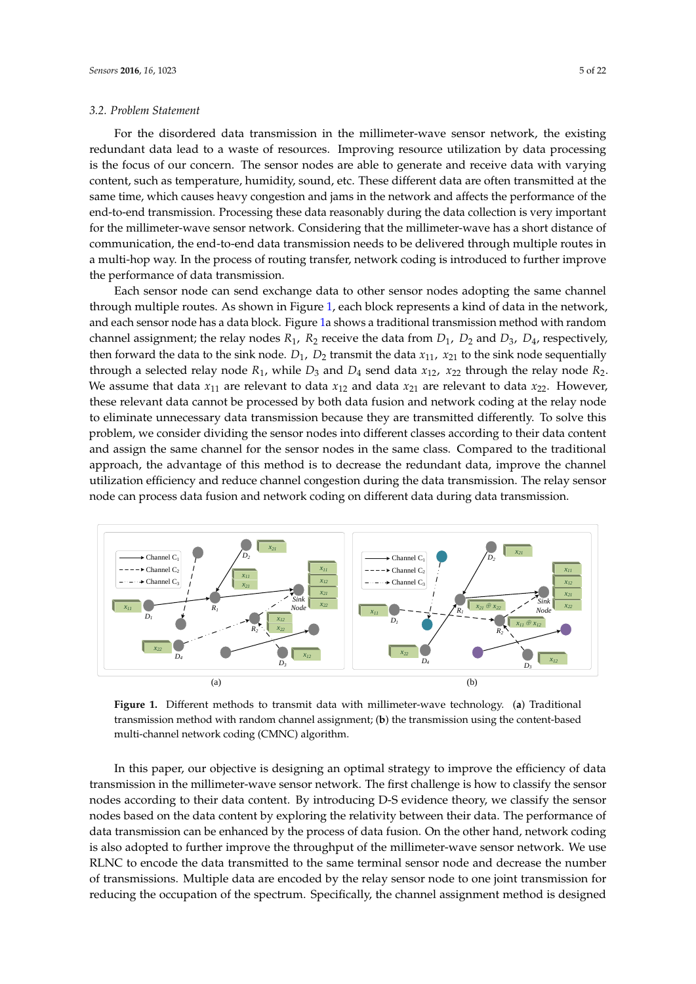#### *3.2. Problem Statement*

For the disordered data transmission in the millimeter-wave sensor network, the existing redundant data lead to a waste of resources. Improving resource utilization by data processing is the focus of our concern. The sensor nodes are able to generate and receive data with varying content, such as temperature, humidity, sound, etc. These different data are often transmitted at the same time, which causes heavy congestion and jams in the network and affects the performance of the end-to-end transmission. Processing these data reasonably during the data collection is very important for the millimeter-wave sensor network. Considering that the millimeter-wave has a short distance of communication, the end-to-end data transmission needs to be delivered through multiple routes in a multi-hop way. In the process of routing transfer, network coding is introduced to further improve the performance of data transmission.

Each sensor node can send exchange data to other sensor nodes adopting the same channel through multiple routes. As shown in Figure [1,](#page-4-0) each block represents a kind of data in the network, and each sensor node has a data block. Figure [1a](#page-4-0) shows a traditional transmission method with random channel assignment; the relay nodes  $R_1$ ,  $R_2$  receive the data from  $D_1$ ,  $D_2$  and  $D_3$ ,  $D_4$ , respectively, then forward the data to the sink node.  $D_1$ ,  $D_2$  transmit the data  $x_{11}$ ,  $x_{21}$  to the sink node sequentially through a selected relay node  $R_1$ , while  $D_3$  and  $D_4$  send data  $x_{12}$ ,  $x_{22}$  through the relay node  $R_2$ . We assume that data  $x_{11}$  are relevant to data  $x_{12}$  and data  $x_{21}$  are relevant to data  $x_{22}$ . However, these relevant data cannot be processed by both data fusion and network coding at the relay node to eliminate unnecessary data transmission because they are transmitted differently. To solve this problem, we consider dividing the sensor nodes into different classes according to their data content and assign the same channel for the sensor nodes in the same class. Compared to the traditional approach, the advantage of this method is to decrease the redundant data, improve the channel utilization efficiency and reduce channel congestion during the data transmission. The relay sensor node can process data fusion and network coding on different data during data transmission.

<span id="page-4-0"></span>

**Figure 1.** Different methods to transmit data with millimeter-wave technology. (**a**) Traditional transmission method with random channel assignment; (**b**) the transmission using the content-based multi-channel network coding (CMNC) algorithm.

In this paper, our objective is designing an optimal strategy to improve the efficiency of data transmission in the millimeter-wave sensor network. The first challenge is how to classify the sensor nodes according to their data content. By introducing D-S evidence theory, we classify the sensor nodes based on the data content by exploring the relativity between their data. The performance of data transmission can be enhanced by the process of data fusion. On the other hand, network coding is also adopted to further improve the throughput of the millimeter-wave sensor network. We use RLNC to encode the data transmitted to the same terminal sensor node and decrease the number of transmissions. Multiple data are encoded by the relay sensor node to one joint transmission for reducing the occupation of the spectrum. Specifically, the channel assignment method is designed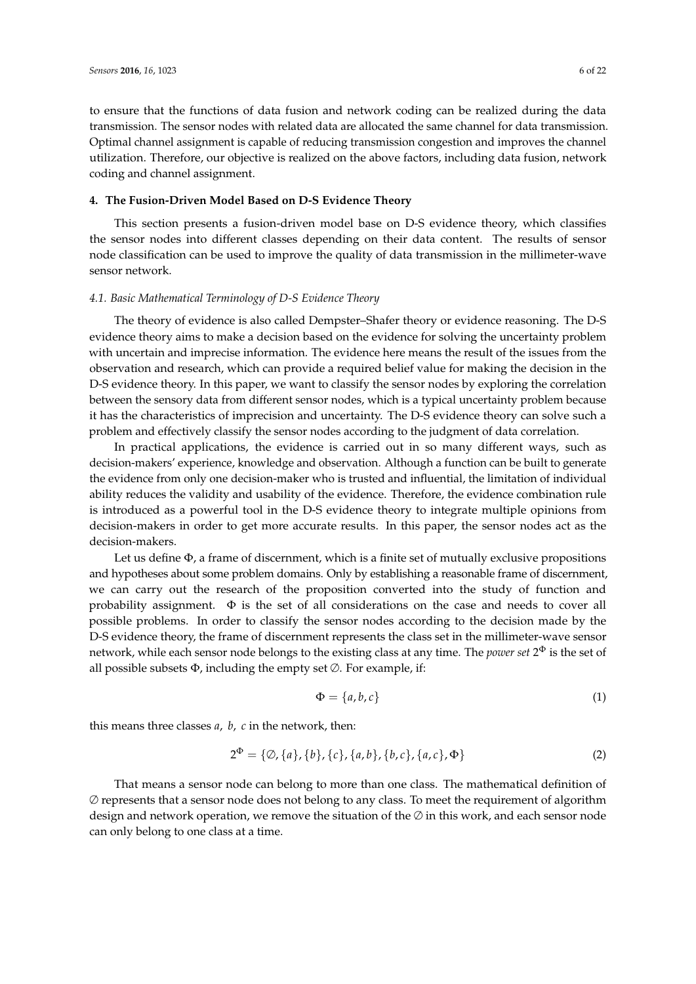to ensure that the functions of data fusion and network coding can be realized during the data transmission. The sensor nodes with related data are allocated the same channel for data transmission. Optimal channel assignment is capable of reducing transmission congestion and improves the channel utilization. Therefore, our objective is realized on the above factors, including data fusion, network coding and channel assignment.

# <span id="page-5-0"></span>**4. The Fusion-Driven Model Based on D-S Evidence Theory**

This section presents a fusion-driven model base on D-S evidence theory, which classifies the sensor nodes into different classes depending on their data content. The results of sensor node classification can be used to improve the quality of data transmission in the millimeter-wave sensor network.

# *4.1. Basic Mathematical Terminology of D-S Evidence Theory*

The theory of evidence is also called Dempster–Shafer theory or evidence reasoning. The D-S evidence theory aims to make a decision based on the evidence for solving the uncertainty problem with uncertain and imprecise information. The evidence here means the result of the issues from the observation and research, which can provide a required belief value for making the decision in the D-S evidence theory. In this paper, we want to classify the sensor nodes by exploring the correlation between the sensory data from different sensor nodes, which is a typical uncertainty problem because it has the characteristics of imprecision and uncertainty. The D-S evidence theory can solve such a problem and effectively classify the sensor nodes according to the judgment of data correlation.

In practical applications, the evidence is carried out in so many different ways, such as decision-makers' experience, knowledge and observation. Although a function can be built to generate the evidence from only one decision-maker who is trusted and influential, the limitation of individual ability reduces the validity and usability of the evidence. Therefore, the evidence combination rule is introduced as a powerful tool in the D-S evidence theory to integrate multiple opinions from decision-makers in order to get more accurate results. In this paper, the sensor nodes act as the decision-makers.

Let us define  $\Phi$ , a frame of discernment, which is a finite set of mutually exclusive propositions and hypotheses about some problem domains. Only by establishing a reasonable frame of discernment, we can carry out the research of the proposition converted into the study of function and probability assignment.  $\Phi$  is the set of all considerations on the case and needs to cover all possible problems. In order to classify the sensor nodes according to the decision made by the D-S evidence theory, the frame of discernment represents the class set in the millimeter-wave sensor network, while each sensor node belongs to the existing class at any time. The *power set* 2 <sup>Φ</sup> is the set of all possible subsets  $\Phi$ , including the empty set  $\emptyset$ . For example, if:

$$
\Phi = \{a, b, c\} \tag{1}
$$

this means three classes *a*, *b*, *c* in the network, then:

$$
2^{\Phi} = \{ \emptyset, \{a\}, \{b\}, \{c\}, \{a, b\}, \{b, c\}, \{a, c\}, \Phi \}
$$
 (2)

That means a sensor node can belong to more than one class. The mathematical definition of  $\varnothing$  represents that a sensor node does not belong to any class. To meet the requirement of algorithm design and network operation, we remove the situation of the  $\emptyset$  in this work, and each sensor node can only belong to one class at a time.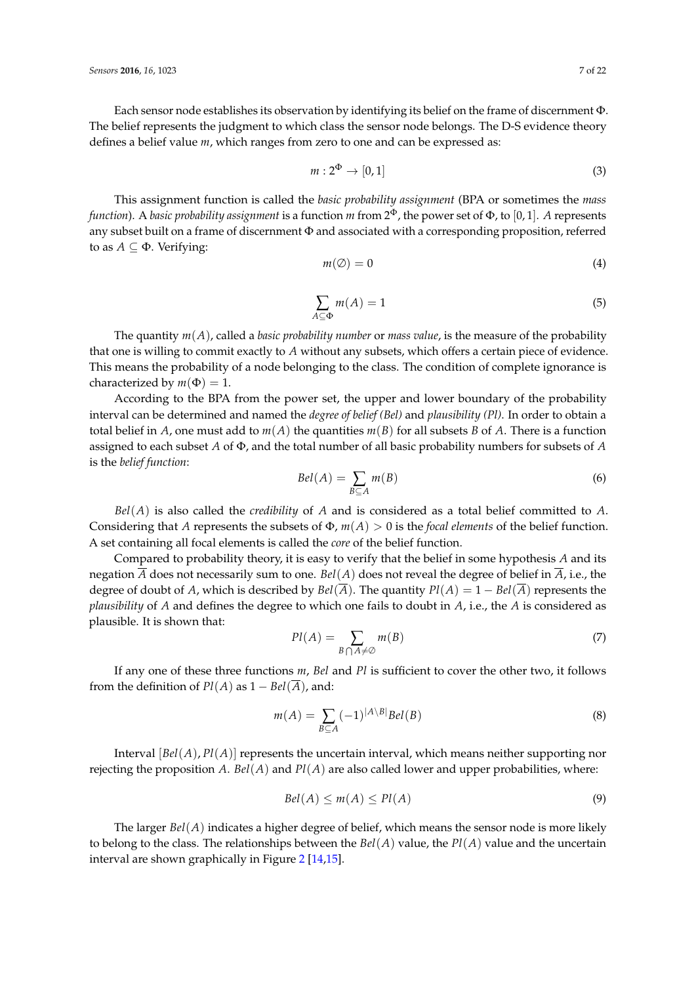Each sensor node establishes its observation by identifying its belief on the frame of discernment Φ. The belief represents the judgment to which class the sensor node belongs. The D-S evidence theory defines a belief value *m*, which ranges from zero to one and can be expressed as:

$$
m: 2^{\Phi} \to [0, 1] \tag{3}
$$

This assignment function is called the *basic probability assignment* (BPA or sometimes the *mass function*). A *basic probability assignment* is a function *m* from 2 <sup>Φ</sup>, the power set of Φ, to [0, 1]. *A* represents any subset built on a frame of discernment Φ and associated with a corresponding proposition, referred to as  $A \subseteq \Phi$ . Verifying:

$$
m(\emptyset) = 0 \tag{4}
$$

$$
\sum_{A \subseteq \Phi} m(A) = 1 \tag{5}
$$

The quantity *m*(*A*), called a *basic probability number* or *mass value*, is the measure of the probability that one is willing to commit exactly to *A* without any subsets, which offers a certain piece of evidence. This means the probability of a node belonging to the class. The condition of complete ignorance is characterized by  $m(\Phi) = 1$ .

According to the BPA from the power set, the upper and lower boundary of the probability interval can be determined and named the *degree of belief (Bel)* and *plausibility (Pl)*. In order to obtain a total belief in *A*, one must add to  $m(A)$  the quantities  $m(B)$  for all subsets *B* of *A*. There is a function assigned to each subset *A* of Φ, and the total number of all basic probability numbers for subsets of *A* is the *belief function*:

$$
Bel(A) = \sum_{B \subseteq A} m(B) \tag{6}
$$

*Bel*(*A*) is also called the *credibility* of *A* and is considered as a total belief committed to *A*. Considering that *A* represents the subsets of Φ, *m*(*A*) > 0 is the *focal elements* of the belief function. A set containing all focal elements is called the *core* of the belief function.

Compared to probability theory, it is easy to verify that the belief in some hypothesis *A* and its negation *A* does not necessarily sum to one. *Bel*(*A*) does not reveal the degree of belief in *A*, i.e., the degree of doubt of *A*, which is described by  $Bel(\overline{A})$ . The quantity  $Pl(A) = 1 - Bel(\overline{A})$  represents the *plausibility* of *A* and defines the degree to which one fails to doubt in *A*, i.e., the *A* is considered as plausible. It is shown that:

$$
Pl(A) = \sum_{B \cap A \neq \emptyset} m(B) \tag{7}
$$

If any one of these three functions *m*, *Bel* and *Pl* is sufficient to cover the other two, it follows from the definition of  $Pl(A)$  as  $1 - Bel(\overline{A})$ , and:

$$
m(A) = \sum_{B \subseteq A} (-1)^{|A \setminus B|} Bel(B)
$$
 (8)

Interval [*Bel*(*A*), *Pl*(*A*)] represents the uncertain interval, which means neither supporting nor rejecting the proposition *A*. *Bel*(*A*) and *Pl*(*A*) are also called lower and upper probabilities, where:

$$
Bel(A) \le m(A) \le Pl(A) \tag{9}
$$

The larger  $Bel(A)$  indicates a higher degree of belief, which means the sensor node is more likely to belong to the class. The relationships between the  $Bel(A)$  value, the  $Pl(A)$  value and the uncertain interval are shown graphically in Figure [2](#page-7-0) [\[14,](#page-20-5)[15\]](#page-20-6).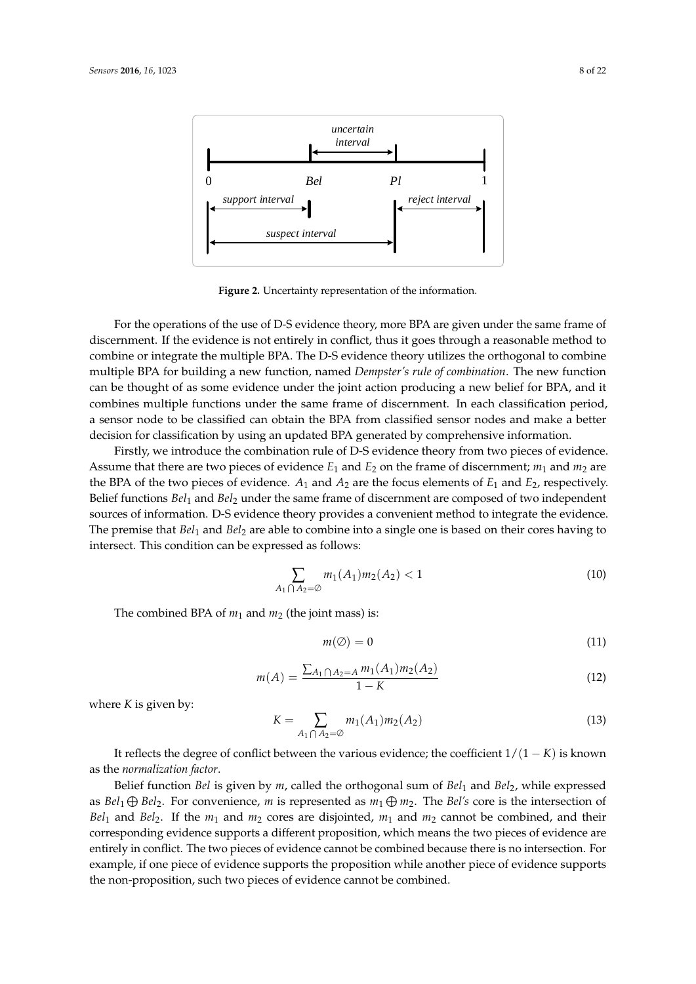<span id="page-7-0"></span>

**Figure 2.** Uncertainty representation of the information.

For the operations of the use of D-S evidence theory, more BPA are given under the same frame of discernment. If the evidence is not entirely in conflict, thus it goes through a reasonable method to combine or integrate the multiple BPA. The D-S evidence theory utilizes the orthogonal to combine multiple BPA for building a new function, named *Dempster's rule of combination*. The new function can be thought of as some evidence under the joint action producing a new belief for BPA, and it combines multiple functions under the same frame of discernment. In each classification period, a sensor node to be classified can obtain the BPA from classified sensor nodes and make a better decision for classification by using an updated BPA generated by comprehensive information.

Firstly, we introduce the combination rule of D-S evidence theory from two pieces of evidence. Assume that there are two pieces of evidence  $E_1$  and  $E_2$  on the frame of discernment;  $m_1$  and  $m_2$  are the BPA of the two pieces of evidence.  $A_1$  and  $A_2$  are the focus elements of  $E_1$  and  $E_2$ , respectively. Belief functions *Bel*<sup>1</sup> and *Bel*<sup>2</sup> under the same frame of discernment are composed of two independent sources of information. D-S evidence theory provides a convenient method to integrate the evidence. The premise that *Bel*<sup>1</sup> and *Bel*<sup>2</sup> are able to combine into a single one is based on their cores having to intersect. This condition can be expressed as follows:

$$
\sum_{A_1 \cap A_2 = \emptyset} m_1(A_1) m_2(A_2) < 1 \tag{10}
$$

The combined BPA of  $m_1$  and  $m_2$  (the joint mass) is:

$$
m(\emptyset) = 0 \tag{11}
$$

$$
m(A) = \frac{\sum_{A_1 \cap A_2 = A} m_1(A_1) m_2(A_2)}{1 - K}
$$
\n(12)

where *K* is given by:

$$
K = \sum_{A_1 \cap A_2 = \emptyset} m_1(A_1) m_2(A_2)
$$
\n(13)

It reflects the degree of conflict between the various evidence; the coefficient 1/(1 − *K*) is known as the *normalization factor*.

Belief function *Bel* is given by *m*, called the orthogonal sum of *Bel*<sup>1</sup> and *Bel*2, while expressed as  $Bel_1 \oplus Bel_2$ . For convenience, *m* is represented as  $m_1 \oplus m_2$ . The  $Bel's$  core is the intersection of *Bel*<sub>1</sub> and *Bel*<sub>2</sub>. If the  $m_1$  and  $m_2$  cores are disjointed,  $m_1$  and  $m_2$  cannot be combined, and their corresponding evidence supports a different proposition, which means the two pieces of evidence are entirely in conflict. The two pieces of evidence cannot be combined because there is no intersection. For example, if one piece of evidence supports the proposition while another piece of evidence supports the non-proposition, such two pieces of evidence cannot be combined.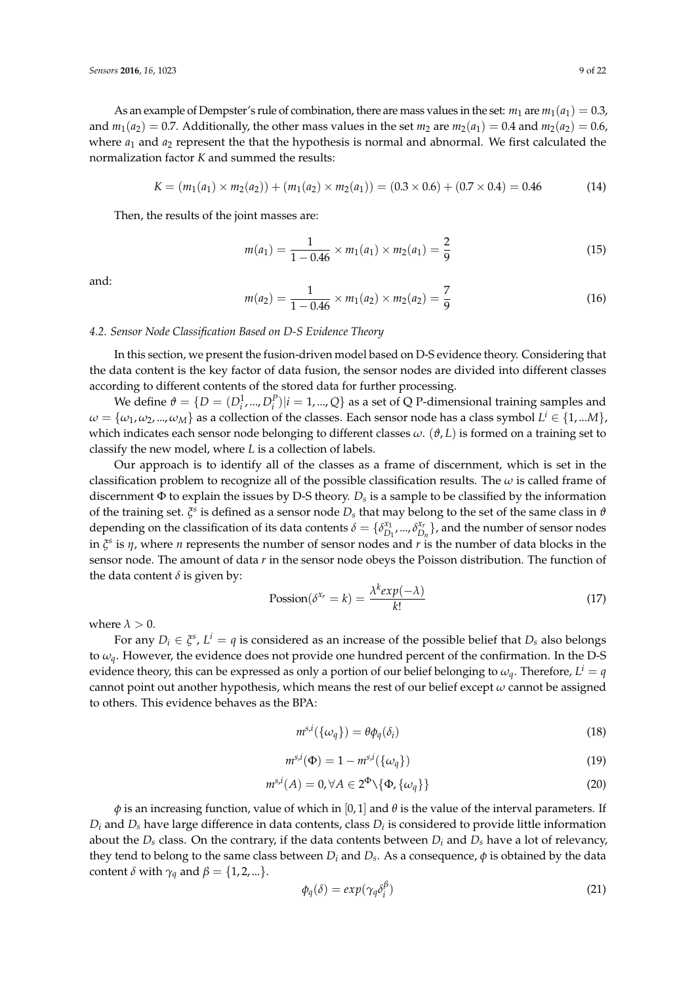As an example of Dempster's rule of combination, there are mass values in the set:  $m_1$  are  $m_1(a_1) = 0.3$ , and  $m_1(a_2) = 0.7$ . Additionally, the other mass values in the set  $m_2$  are  $m_2(a_1) = 0.4$  and  $m_2(a_2) = 0.6$ , where *a*<sup>1</sup> and *a*<sup>2</sup> represent the that the hypothesis is normal and abnormal. We first calculated the normalization factor *K* and summed the results:

$$
K = (m_1(a_1) \times m_2(a_2)) + (m_1(a_2) \times m_2(a_1)) = (0.3 \times 0.6) + (0.7 \times 0.4) = 0.46
$$
 (14)

Then, the results of the joint masses are:

$$
m(a_1) = \frac{1}{1 - 0.46} \times m_1(a_1) \times m_2(a_1) = \frac{2}{9}
$$
 (15)

and:

$$
m(a_2) = \frac{1}{1 - 0.46} \times m_1(a_2) \times m_2(a_2) = \frac{7}{9}
$$
 (16)

# *4.2. Sensor Node Classification Based on D-S Evidence Theory*

In this section, we present the fusion-driven model based on D-S evidence theory. Considering that the data content is the key factor of data fusion, the sensor nodes are divided into different classes according to different contents of the stored data for further processing.

We define  $\vartheta = \{D = (D_i^1, ..., D_i^P)|i = 1, ..., Q\}$  as a set of Q P-dimensional training samples and  $\omega = \{\omega_1, \omega_2, ..., \omega_M\}$  as a collection of the classes. Each sensor node has a class symbol  $L^i \in \{1,...M\}$ , which indicates each sensor node belonging to different classes *ω*. (*ϑ*, *L*) is formed on a training set to classify the new model, where *L* is a collection of labels.

Our approach is to identify all of the classes as a frame of discernment, which is set in the classification problem to recognize all of the possible classification results. The *ω* is called frame of discernment Φ to explain the issues by D-S theory. *D<sup>s</sup>* is a sample to be classified by the information of the training set. *ξ s* is defined as a sensor node *D<sup>s</sup>* that may belong to the set of the same class in *ϑ* depending on the classification of its data contents  $\delta = \{\delta_D^{\mathbf{x}_1}\}$ *D*1 , ..., *δ xr*  $\sum_{D_n}^{x_r}$ }, and the number of sensor nodes in *ξ s* is *η*, where *n* represents the number of sensor nodes and *r* is the number of data blocks in the sensor node. The amount of data *r* in the sensor node obeys the Poisson distribution. The function of the data content  $\delta$  is given by:

$$
Possion(\delta^{x_r} = k) = \frac{\lambda^k exp(-\lambda)}{k!}
$$
\n(17)

where  $\lambda > 0$ .

For any  $D_i \in \xi^s$ ,  $L^i = q$  is considered as an increase of the possible belief that  $D_s$  also belongs to *ωq*. However, the evidence does not provide one hundred percent of the confirmation. In the D-S evidence theory, this can be expressed as only a portion of our belief belonging to  $\omega_q$ . Therefore,  $L^i=q$ cannot point out another hypothesis, which means the rest of our belief except *ω* cannot be assigned to others. This evidence behaves as the BPA:

<span id="page-8-0"></span>
$$
m^{s,i}(\{\omega_q\}) = \theta \phi_q(\delta_i)
$$
\n(18)

<span id="page-8-1"></span>
$$
m^{s,i}(\Phi) = 1 - m^{s,i}(\{\omega_q\})
$$
\n(19)

<span id="page-8-2"></span>
$$
m^{s,i}(A) = 0, \forall A \in 2^{\Phi} \setminus \{\Phi, \{\omega_q\}\}\tag{20}
$$

*φ* is an increasing function, value of which in [0, 1] and *θ* is the value of the interval parameters. If  $D_i$  and  $D_s$  have large difference in data contents, class  $D_i$  is considered to provide little information about the  $D_s$  class. On the contrary, if the data contents between  $D_i$  and  $D_s$  have a lot of relevancy, they tend to belong to the same class between  $D_i$  and  $D_s$ . As a consequence,  $\phi$  is obtained by the data content  $\delta$  with  $\gamma_q$  and  $\beta = \{1, 2, ...\}$ . *β*

$$
\phi_q(\delta) = exp(\gamma_q \delta_i^p) \tag{21}
$$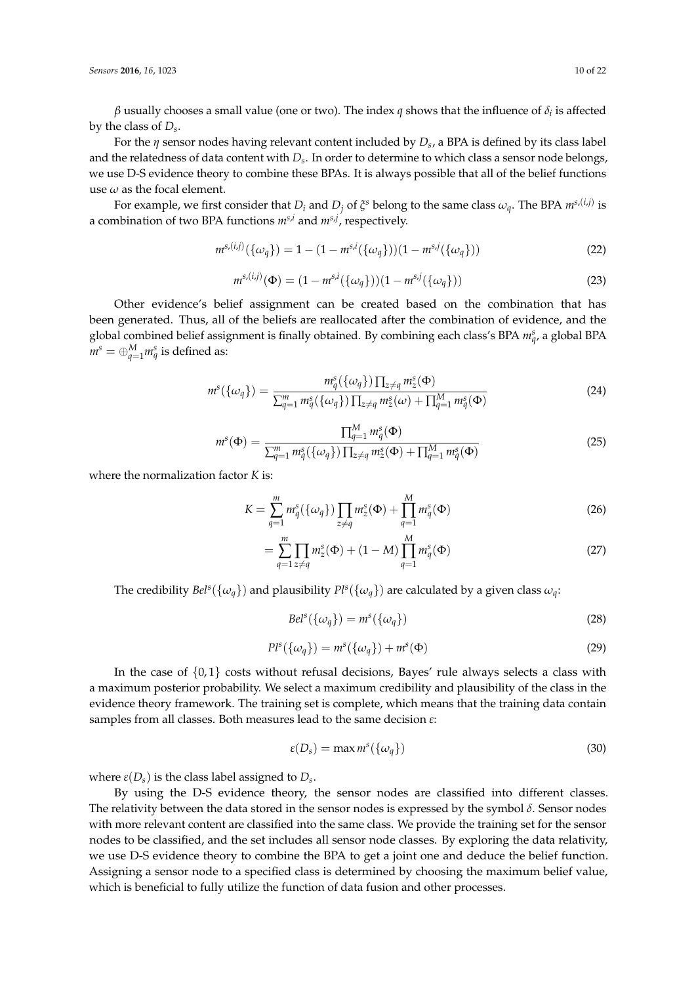*β* usually chooses a small value (one or two). The index *q* shows that the influence of  $δ<sub>i</sub>$  is affected by the class of *D<sup>s</sup>* .

For the *η* sensor nodes having relevant content included by *D<sup>s</sup>* , a BPA is defined by its class label and the relatedness of data content with *D<sup>s</sup>* . In order to determine to which class a sensor node belongs, we use D-S evidence theory to combine these BPAs. It is always possible that all of the belief functions use  $\omega$  as the focal element.

For example, we first consider that  $D_i$  and  $D_j$  of  $\xi$ <sup>s</sup> belong to the same class  $\omega_q$ . The BPA  $m^{s,(i,j)}$  is a combination of two BPA functions *ms*,*<sup>i</sup>* and *ms*,*<sup>j</sup>* , respectively.

$$
m^{s,(i,j)}(\{\omega_q\}) = 1 - (1 - m^{s,i}(\{\omega_q\}))(1 - m^{s,j}(\{\omega_q\}))
$$
\n(22)

$$
m^{s,(i,j)}(\Phi) = (1 - m^{s,i}(\{\omega_q\}))(1 - m^{s,j}(\{\omega_q\}))
$$
\n(23)

Other evidence's belief assignment can be created based on the combination that has been generated. Thus, all of the beliefs are reallocated after the combination of evidence, and the global combined belief assignment is finally obtained. By combining each class's BPA  $m_q^s$ , a global BPA  $m^s = \oplus_{q=1}^M m_q^s$  is defined as:

<span id="page-9-2"></span>
$$
m^{s}(\{\omega_{q}\}) = \frac{m_{q}^{s}(\{\omega_{q}\})\prod_{z \neq q} m_{z}^{s}(\Phi)}{\sum_{q=1}^{m} m_{q}^{s}(\{\omega_{q}\})\prod_{z \neq q} m_{z}^{s}(\omega) + \prod_{q=1}^{M} m_{q}^{s}(\Phi)}
$$
(24)

<span id="page-9-3"></span>
$$
m^{s}(\Phi) = \frac{\prod_{q=1}^{M} m_{q}^{s}(\Phi)}{\sum_{q=1}^{m} m_{q}^{s}(\{\omega_{q}\}) \prod_{z \neq q} m_{z}^{s}(\Phi) + \prod_{q=1}^{M} m_{q}^{s}(\Phi)}
$$
(25)

where the normalization factor *K* is:

$$
K = \sum_{q=1}^{m} m_q^s(\{\omega_q\}) \prod_{z \neq q} m_z^s(\Phi) + \prod_{q=1}^{M} m_q^s(\Phi)
$$
 (26)

$$
= \sum_{q=1}^{m} \prod_{z \neq q} m_z^s(\Phi) + (1 - M) \prod_{q=1}^{M} m_q^s(\Phi)
$$
 (27)

The credibility  $Bel^s(\{\omega_q\})$  and plausibility  $Pl^s(\{\omega_q\})$  are calculated by a given class  $\omega_q$ :

<span id="page-9-0"></span>
$$
Bel^s(\{\omega_q\}) = m^s(\{\omega_q\})
$$
\n(28)

$$
Pl^{s}(\{\omega_q\}) = m^{s}(\{\omega_q\}) + m^{s}(\Phi)
$$
\n(29)

In the case of  $\{0, 1\}$  costs without refusal decisions, Bayes' rule always selects a class with a maximum posterior probability. We select a maximum credibility and plausibility of the class in the evidence theory framework. The training set is complete, which means that the training data contain samples from all classes. Both measures lead to the same decision *ε*:

<span id="page-9-1"></span>
$$
\varepsilon(D_s) = \max m^s(\{\omega_q\})
$$
\n(30)

where  $\varepsilon(D_s)$  is the class label assigned to  $D_s$ .

By using the D-S evidence theory, the sensor nodes are classified into different classes. The relativity between the data stored in the sensor nodes is expressed by the symbol *δ*. Sensor nodes with more relevant content are classified into the same class. We provide the training set for the sensor nodes to be classified, and the set includes all sensor node classes. By exploring the data relativity, we use D-S evidence theory to combine the BPA to get a joint one and deduce the belief function. Assigning a sensor node to a specified class is determined by choosing the maximum belief value, which is beneficial to fully utilize the function of data fusion and other processes.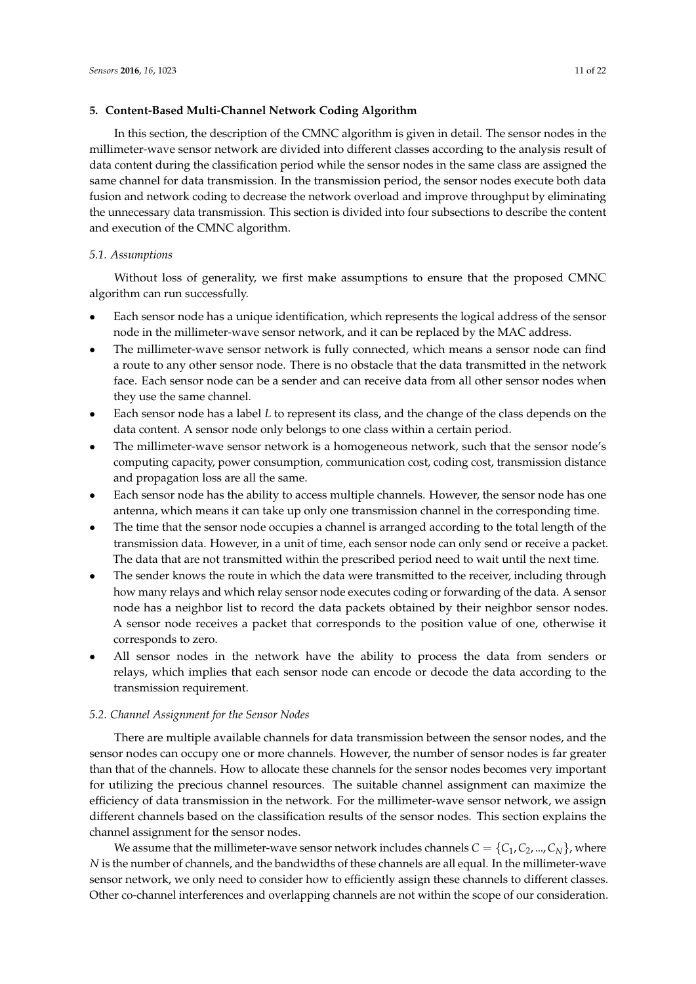# <span id="page-10-0"></span>**5. Content-Based Multi-Channel Network Coding Algorithm**

In this section, the description of the CMNC algorithm is given in detail. The sensor nodes in the millimeter-wave sensor network are divided into different classes according to the analysis result of data content during the classification period while the sensor nodes in the same class are assigned the same channel for data transmission. In the transmission period, the sensor nodes execute both data fusion and network coding to decrease the network overload and improve throughput by eliminating the unnecessary data transmission. This section is divided into four subsections to describe the content and execution of the CMNC algorithm.

# *5.1. Assumptions*

Without loss of generality, we first make assumptions to ensure that the proposed CMNC algorithm can run successfully.

- Each sensor node has a unique identification, which represents the logical address of the sensor node in the millimeter-wave sensor network, and it can be replaced by the MAC address.
- The millimeter-wave sensor network is fully connected, which means a sensor node can find a route to any other sensor node. There is no obstacle that the data transmitted in the network face. Each sensor node can be a sender and can receive data from all other sensor nodes when they use the same channel.
- Each sensor node has a label *L* to represent its class, and the change of the class depends on the data content. A sensor node only belongs to one class within a certain period.
- The millimeter-wave sensor network is a homogeneous network, such that the sensor node's computing capacity, power consumption, communication cost, coding cost, transmission distance and propagation loss are all the same.
- Each sensor node has the ability to access multiple channels. However, the sensor node has one antenna, which means it can take up only one transmission channel in the corresponding time.
- The time that the sensor node occupies a channel is arranged according to the total length of the transmission data. However, in a unit of time, each sensor node can only send or receive a packet. The data that are not transmitted within the prescribed period need to wait until the next time.
- The sender knows the route in which the data were transmitted to the receiver, including through how many relays and which relay sensor node executes coding or forwarding of the data. A sensor node has a neighbor list to record the data packets obtained by their neighbor sensor nodes. A sensor node receives a packet that corresponds to the position value of one, otherwise it corresponds to zero.
- All sensor nodes in the network have the ability to process the data from senders or relays, which implies that each sensor node can encode or decode the data according to the transmission requirement.

# *5.2. Channel Assignment for the Sensor Nodes*

There are multiple available channels for data transmission between the sensor nodes, and the sensor nodes can occupy one or more channels. However, the number of sensor nodes is far greater than that of the channels. How to allocate these channels for the sensor nodes becomes very important for utilizing the precious channel resources. The suitable channel assignment can maximize the efficiency of data transmission in the network. For the millimeter-wave sensor network, we assign different channels based on the classification results of the sensor nodes. This section explains the channel assignment for the sensor nodes.

We assume that the millimeter-wave sensor network includes channels  $C = \{C_1, C_2, ..., C_N\}$ , where *N* is the number of channels, and the bandwidths of these channels are all equal. In the millimeter-wave sensor network, we only need to consider how to efficiently assign these channels to different classes. Other co-channel interferences and overlapping channels are not within the scope of our consideration.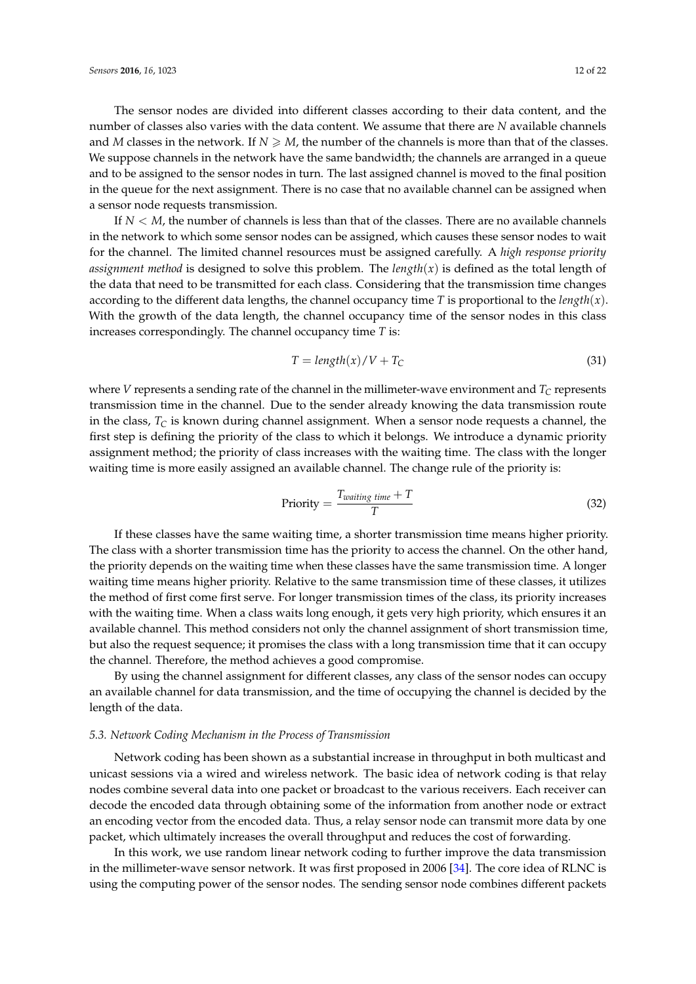The sensor nodes are divided into different classes according to their data content, and the number of classes also varies with the data content. We assume that there are *N* available channels and *M* classes in the network. If  $N \ge M$ , the number of the channels is more than that of the classes. We suppose channels in the network have the same bandwidth; the channels are arranged in a queue and to be assigned to the sensor nodes in turn. The last assigned channel is moved to the final position in the queue for the next assignment. There is no case that no available channel can be assigned when a sensor node requests transmission.

If *N* < *M*, the number of channels is less than that of the classes. There are no available channels in the network to which some sensor nodes can be assigned, which causes these sensor nodes to wait for the channel. The limited channel resources must be assigned carefully. A *high response priority assignment method* is designed to solve this problem. The *length*(*x*) is defined as the total length of the data that need to be transmitted for each class. Considering that the transmission time changes according to the different data lengths, the channel occupancy time *T* is proportional to the *length*(*x*). With the growth of the data length, the channel occupancy time of the sensor nodes in this class increases correspondingly. The channel occupancy time *T* is:

<span id="page-11-0"></span>
$$
T = length(x)/V + T_C
$$
\n(31)

where *V* represents a sending rate of the channel in the millimeter-wave environment and *T<sup>C</sup>* represents transmission time in the channel. Due to the sender already knowing the data transmission route in the class, *T<sup>C</sup>* is known during channel assignment. When a sensor node requests a channel, the first step is defining the priority of the class to which it belongs. We introduce a dynamic priority assignment method; the priority of class increases with the waiting time. The class with the longer waiting time is more easily assigned an available channel. The change rule of the priority is:

<span id="page-11-1"></span>
$$
Priority = \frac{T_{wating\ time} + T}{T}
$$
\n(32)

If these classes have the same waiting time, a shorter transmission time means higher priority. The class with a shorter transmission time has the priority to access the channel. On the other hand, the priority depends on the waiting time when these classes have the same transmission time. A longer waiting time means higher priority. Relative to the same transmission time of these classes, it utilizes the method of first come first serve. For longer transmission times of the class, its priority increases with the waiting time. When a class waits long enough, it gets very high priority, which ensures it an available channel. This method considers not only the channel assignment of short transmission time, but also the request sequence; it promises the class with a long transmission time that it can occupy the channel. Therefore, the method achieves a good compromise.

By using the channel assignment for different classes, any class of the sensor nodes can occupy an available channel for data transmission, and the time of occupying the channel is decided by the length of the data.

#### *5.3. Network Coding Mechanism in the Process of Transmission*

Network coding has been shown as a substantial increase in throughput in both multicast and unicast sessions via a wired and wireless network. The basic idea of network coding is that relay nodes combine several data into one packet or broadcast to the various receivers. Each receiver can decode the encoded data through obtaining some of the information from another node or extract an encoding vector from the encoded data. Thus, a relay sensor node can transmit more data by one packet, which ultimately increases the overall throughput and reduces the cost of forwarding.

In this work, we use random linear network coding to further improve the data transmission in the millimeter-wave sensor network. It was first proposed in 2006 [\[34\]](#page-21-2). The core idea of RLNC is using the computing power of the sensor nodes. The sending sensor node combines different packets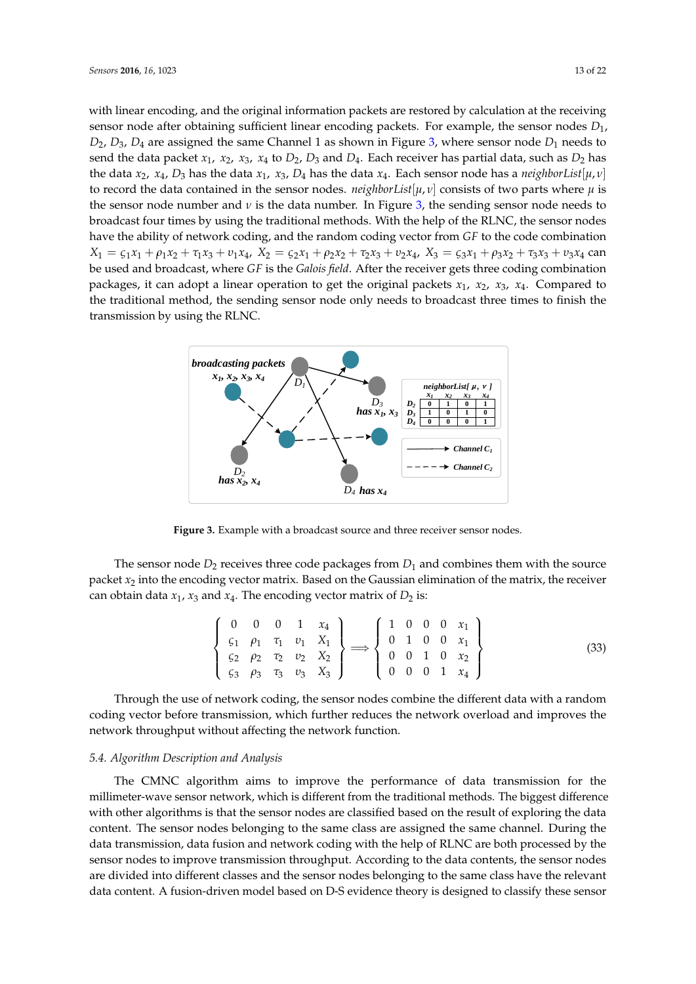with linear encoding, and the original information packets are restored by calculation at the receiving sensor node after obtaining sufficient linear encoding packets. For example, the sensor nodes *D*1,  $D_2$ ,  $D_3$ ,  $D_4$  are assigned the same Channel 1 as shown in Figure [3,](#page-12-0) where sensor node  $D_1$  needs to send the data packet  $x_1$ ,  $x_2$ ,  $x_3$ ,  $x_4$  to  $D_2$ ,  $D_3$  and  $D_4$ . Each receiver has partial data, such as  $D_2$  has the data  $x_2$ ,  $x_4$ ,  $D_3$  has the data  $x_1$ ,  $x_3$ ,  $D_4$  has the data  $x_4$ . Each sensor node has a *neighborList*[ $\mu$ , $\nu$ ] to record the data contained in the sensor nodes. *neighborList*[ $\mu$ ,  $\nu$ ] consists of two parts where  $\mu$  is the sensor node number and  $\nu$  is the data number. In Figure [3,](#page-12-0) the sending sensor node needs to broadcast four times by using the traditional methods. With the help of the RLNC, the sensor nodes have the ability of network coding, and the random coding vector from *GF* to the code combination  $X_1 = \zeta_1 x_1 + \rho_1 x_2 + \tau_1 x_3 + \nu_1 x_4$ ,  $X_2 = \zeta_2 x_1 + \rho_2 x_2 + \tau_2 x_3 + \nu_2 x_4$ ,  $X_3 = \zeta_3 x_1 + \rho_3 x_2 + \tau_3 x_3 + \nu_3 x_4$  can be used and broadcast, where *GF* is the *Galois field*. After the receiver gets three coding combination packages, it can adopt a linear operation to get the original packets *x*1, *x*2, *x*3, *x*4. Compared to the traditional method, the sending sensor node only needs to broadcast three times to finish the transmission by using the RLNC.

<span id="page-12-0"></span>

**Figure 3.** Example with a broadcast source and three receiver sensor nodes.

The sensor node  $D_2$  receives three code packages from  $D_1$  and combines them with the source packet *x*<sup>2</sup> into the encoding vector matrix. Based on the Gaussian elimination of the matrix, the receiver can obtain data  $x_1$ ,  $x_3$  and  $x_4$ . The encoding vector matrix of  $D_2$  is:

$$
\begin{Bmatrix}\n0 & 0 & 0 & 1 & x_4 \\
\varsigma_1 & \rho_1 & \tau_1 & \upsilon_1 & X_1 \\
\varsigma_2 & \rho_2 & \tau_2 & \upsilon_2 & X_2 \\
\varsigma_3 & \rho_3 & \tau_3 & \upsilon_3 & X_3\n\end{Bmatrix} \Longrightarrow \begin{Bmatrix}\n1 & 0 & 0 & 0 & x_1 \\
0 & 1 & 0 & 0 & x_1 \\
0 & 0 & 1 & 0 & x_2 \\
0 & 0 & 0 & 1 & x_4\n\end{Bmatrix}
$$
\n(33)

Through the use of network coding, the sensor nodes combine the different data with a random coding vector before transmission, which further reduces the network overload and improves the network throughput without affecting the network function.

# *5.4. Algorithm Description and Analysis*

The CMNC algorithm aims to improve the performance of data transmission for the millimeter-wave sensor network, which is different from the traditional methods. The biggest difference with other algorithms is that the sensor nodes are classified based on the result of exploring the data content. The sensor nodes belonging to the same class are assigned the same channel. During the data transmission, data fusion and network coding with the help of RLNC are both processed by the sensor nodes to improve transmission throughput. According to the data contents, the sensor nodes are divided into different classes and the sensor nodes belonging to the same class have the relevant data content. A fusion-driven model based on D-S evidence theory is designed to classify these sensor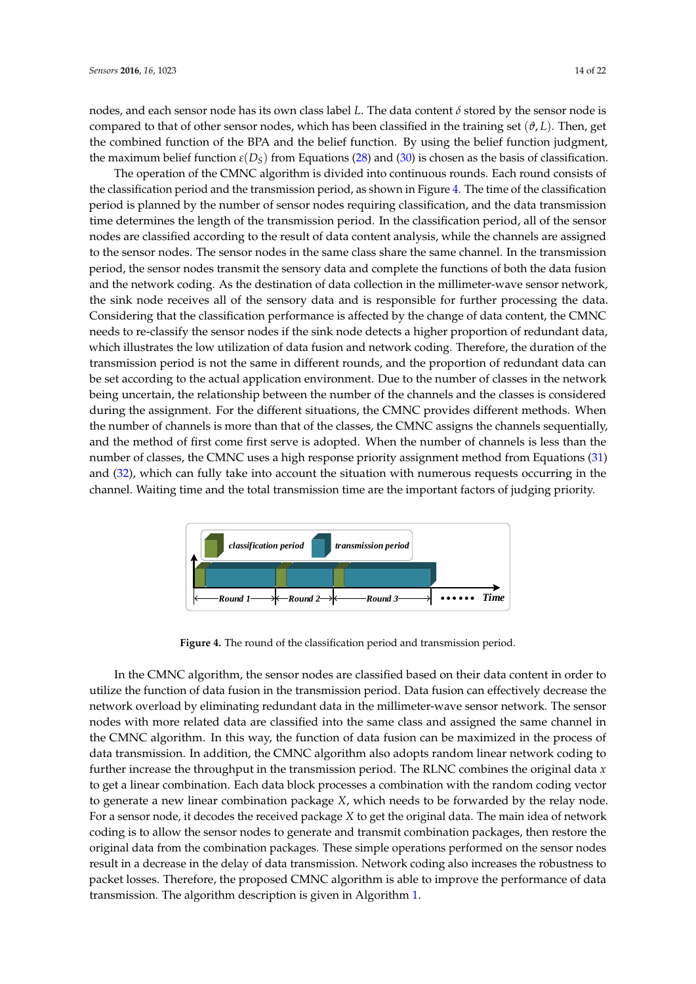nodes, and each sensor node has its own class label *L*. The data content *δ* stored by the sensor node is compared to that of other sensor nodes, which has been classified in the training set  $(\vartheta, L)$ . Then, get the combined function of the BPA and the belief function. By using the belief function judgment, the maximum belief function  $\varepsilon(D_S)$  from Equations [\(28\)](#page-9-0) and [\(30\)](#page-9-1) is chosen as the basis of classification.

The operation of the CMNC algorithm is divided into continuous rounds. Each round consists of the classification period and the transmission period, as shown in Figure [4.](#page-13-0) The time of the classification period is planned by the number of sensor nodes requiring classification, and the data transmission time determines the length of the transmission period. In the classification period, all of the sensor nodes are classified according to the result of data content analysis, while the channels are assigned to the sensor nodes. The sensor nodes in the same class share the same channel. In the transmission period, the sensor nodes transmit the sensory data and complete the functions of both the data fusion and the network coding. As the destination of data collection in the millimeter-wave sensor network, the sink node receives all of the sensory data and is responsible for further processing the data. Considering that the classification performance is affected by the change of data content, the CMNC needs to re-classify the sensor nodes if the sink node detects a higher proportion of redundant data, which illustrates the low utilization of data fusion and network coding. Therefore, the duration of the transmission period is not the same in different rounds, and the proportion of redundant data can be set according to the actual application environment. Due to the number of classes in the network being uncertain, the relationship between the number of the channels and the classes is considered during the assignment. For the different situations, the CMNC provides different methods. When the number of channels is more than that of the classes, the CMNC assigns the channels sequentially, and the method of first come first serve is adopted. When the number of channels is less than the number of classes, the CMNC uses a high response priority assignment method from Equations [\(31\)](#page-11-0) and [\(32\)](#page-11-1), which can fully take into account the situation with numerous requests occurring in the channel. Waiting time and the total transmission time are the important factors of judging priority.

<span id="page-13-0"></span>

**Figure 4.** The round of the classification period and transmission period.

In the CMNC algorithm, the sensor nodes are classified based on their data content in order to utilize the function of data fusion in the transmission period. Data fusion can effectively decrease the network overload by eliminating redundant data in the millimeter-wave sensor network. The sensor nodes with more related data are classified into the same class and assigned the same channel in the CMNC algorithm. In this way, the function of data fusion can be maximized in the process of data transmission. In addition, the CMNC algorithm also adopts random linear network coding to further increase the throughput in the transmission period. The RLNC combines the original data *x* to get a linear combination. Each data block processes a combination with the random coding vector to generate a new linear combination package *X*, which needs to be forwarded by the relay node. For a sensor node, it decodes the received package *X* to get the original data. The main idea of network coding is to allow the sensor nodes to generate and transmit combination packages, then restore the original data from the combination packages. These simple operations performed on the sensor nodes result in a decrease in the delay of data transmission. Network coding also increases the robustness to packet losses. Therefore, the proposed CMNC algorithm is able to improve the performance of data transmission. The algorithm description is given in Algorithm [1.](#page-14-0)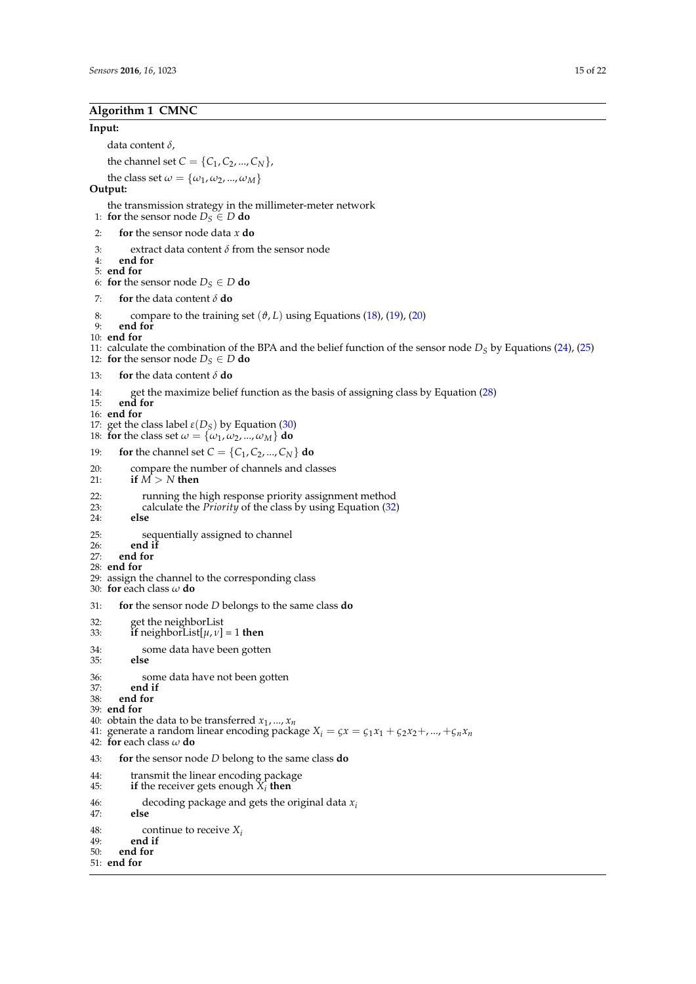# <span id="page-14-0"></span>**Algorithm 1 CMNC**

#### **Input:**

data content *δ*,

the channel set  $C = \{C_1, C_2, ..., C_N\}$ ,

```
the class set \omega = {\omega_1, \omega_2, ..., \omega_M}
```
# **Output:**

the transmission strategy in the millimeter-meter network

1: **for** the sensor node  $D_S \in D$  **do** 

```
2: for the sensor node data x do
```
- 3: extract data content  $\delta$  from the sensor node<br>4: **end for**
- 4: **end for**
- 5: **end for**
- 6: **for** the sensor node  $D_S \in D$  **do**
- 7: **for** the data content *δ* **do**
- 8: compare to the training set  $(\vartheta, L)$  using Equations [\(18\)](#page-8-0), [\(19\)](#page-8-1), [\(20\)](#page-8-2)
- 9: **end for**
- 10: **end for**
- 11: calculate the combination of the BPA and the belief function of the sensor node  $D<sub>S</sub>$  by Equations [\(24\)](#page-9-2), [\(25\)](#page-9-3)

12: **for** the sensor node  $D_S \in D$  **do** 

- 13: **for** the data content *δ* **do**
- 14: get the maximize belief function as the basis of assigning class by Equation [\(28\)](#page-9-0) **end for**
- end for
- 16: **end for**
- 17: get the class label  $\varepsilon(D_S)$  by Equation [\(30\)](#page-9-1)
- 18: **for** the class set  $\omega = {\omega_1, \omega_2, ..., \omega_M}$  **do**
- 19: **for** the channel set  $C = \{C_1, C_2, ..., C_N\}$  **do**
- 20: compare the number of channels and classes<br>21: if  $M > N$  then
- 21: **if** *M* > *N* **then**
- 22: running the high response priority assignment method<br>23: calculate the *Priority* of the class by using Equation  $(32)$
- 23: calculate the *Priority* of the class by using Equation [\(32\)](#page-11-1) 24:
- 24: **else**
- 25: sequentially assigned to channel<br>26: **end if**
- 26: **end if**
- end for
- 28: **end for**
- 29: assign the channel to the corresponding class
- 30: **for** each class *ω* **do**
- 31: **for** the sensor node *D* belongs to the same class **do**
- 32: get the neighborList
- 33: **if** neighborList[*µ*, *ν*] = 1 **then**
- 34: some data have been gotten<br>35: **else**
- 35: **else**
- 36: some data have not been gotten<br>37: **end if**
- 
- 37: **end if** 38: **end for**
- 39: **end for**
- 40: obtain the data to be transferred *x*<sup>1</sup> , ..., *xn*
- 41: generate a random linear encoding package  $X_i = \zeta x = \zeta_1 x_1 + \zeta_2 x_2 + ...$ ,  $+\zeta_n x_n$
- 42: **for** each class *ω* **do**
- 43: **for** the sensor node *D* belong to the same class **do**
- 44: transmit the linear encoding package
- 45: **if** the receiver gets enough  $X_i$  then
- 46: decoding package and gets the original data  $x_i$ <br>47: **else**
- 47: **else**
- 48: continue to receive  $X_i$ <br>49: **end if**
- 49: **end if**
- 50: **end for**
- 51: **end for**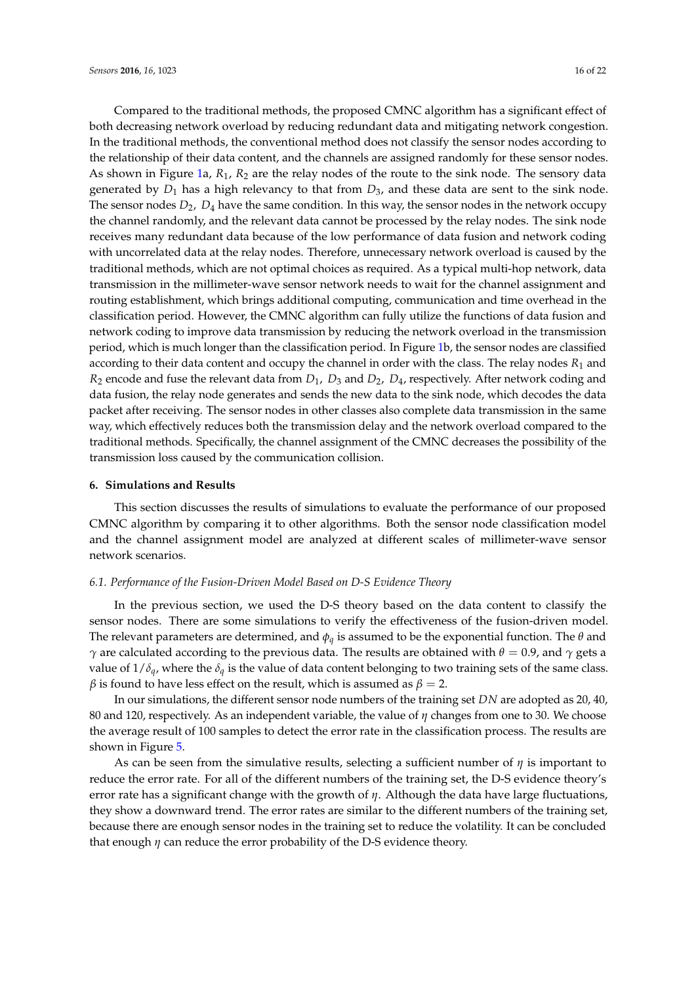Compared to the traditional methods, the proposed CMNC algorithm has a significant effect of both decreasing network overload by reducing redundant data and mitigating network congestion. In the traditional methods, the conventional method does not classify the sensor nodes according to the relationship of their data content, and the channels are assigned randomly for these sensor nodes. As shown in Figure [1a](#page-4-0), *R*1, *R*<sup>2</sup> are the relay nodes of the route to the sink node. The sensory data generated by  $D_1$  has a high relevancy to that from  $D_3$ , and these data are sent to the sink node. The sensor nodes *D*2, *D*<sup>4</sup> have the same condition. In this way, the sensor nodes in the network occupy the channel randomly, and the relevant data cannot be processed by the relay nodes. The sink node receives many redundant data because of the low performance of data fusion and network coding with uncorrelated data at the relay nodes. Therefore, unnecessary network overload is caused by the traditional methods, which are not optimal choices as required. As a typical multi-hop network, data transmission in the millimeter-wave sensor network needs to wait for the channel assignment and routing establishment, which brings additional computing, communication and time overhead in the classification period. However, the CMNC algorithm can fully utilize the functions of data fusion and network coding to improve data transmission by reducing the network overload in the transmission period, which is much longer than the classification period. In Figure [1b](#page-4-0), the sensor nodes are classified according to their data content and occupy the channel in order with the class. The relay nodes  $R_1$  and *R*<sup>2</sup> encode and fuse the relevant data from *D*1, *D*<sup>3</sup> and *D*2, *D*4, respectively. After network coding and data fusion, the relay node generates and sends the new data to the sink node, which decodes the data packet after receiving. The sensor nodes in other classes also complete data transmission in the same way, which effectively reduces both the transmission delay and the network overload compared to the traditional methods. Specifically, the channel assignment of the CMNC decreases the possibility of the transmission loss caused by the communication collision.

### <span id="page-15-0"></span>**6. Simulations and Results**

This section discusses the results of simulations to evaluate the performance of our proposed CMNC algorithm by comparing it to other algorithms. Both the sensor node classification model and the channel assignment model are analyzed at different scales of millimeter-wave sensor network scenarios.

# *6.1. Performance of the Fusion-Driven Model Based on D-S Evidence Theory*

In the previous section, we used the D-S theory based on the data content to classify the sensor nodes. There are some simulations to verify the effectiveness of the fusion-driven model. The relevant parameters are determined, and *φq* is assumed to be the exponential function. The *θ* and *γ* are calculated according to the previous data. The results are obtained with  $θ = 0.9$ , and *γ* gets a value of  $1/\delta_q$ , where the  $\delta_q$  is the value of data content belonging to two training sets of the same class. *β* is found to have less effect on the result, which is assumed as  $\beta = 2$ .

In our simulations, the different sensor node numbers of the training set *DN* are adopted as 20, 40, 80 and 120, respectively. As an independent variable, the value of *η* changes from one to 30. We choose the average result of 100 samples to detect the error rate in the classification process. The results are shown in Figure [5.](#page-16-0)

As can be seen from the simulative results, selecting a sufficient number of *η* is important to reduce the error rate. For all of the different numbers of the training set, the D-S evidence theory's error rate has a significant change with the growth of *η*. Although the data have large fluctuations, they show a downward trend. The error rates are similar to the different numbers of the training set, because there are enough sensor nodes in the training set to reduce the volatility. It can be concluded that enough *η* can reduce the error probability of the D-S evidence theory.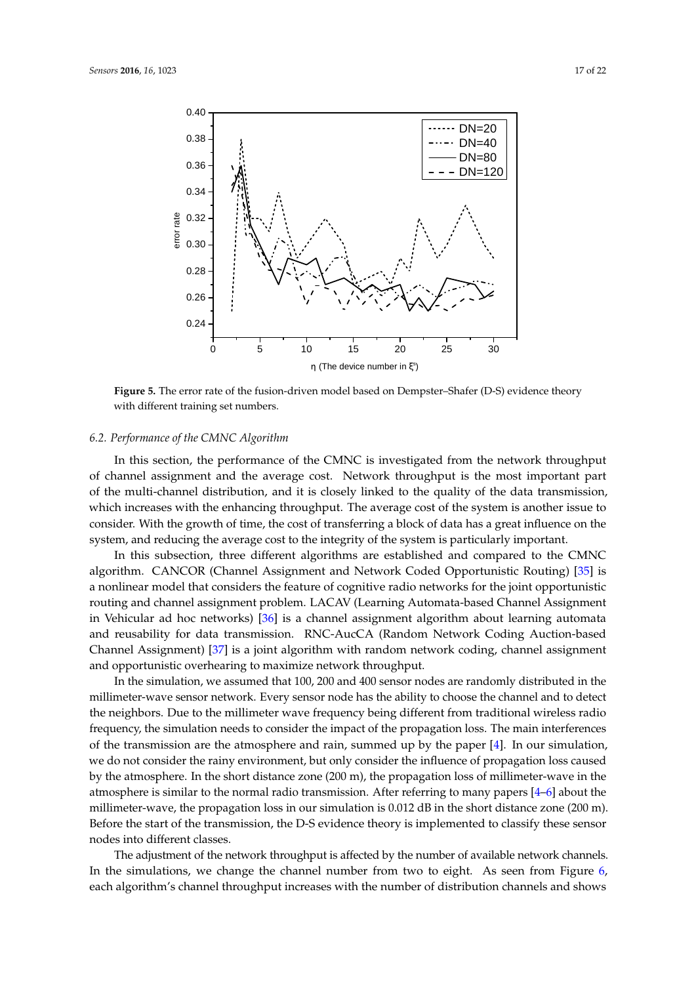<span id="page-16-0"></span>

**Figure 5.** The error rate of the fusion-driven model based on Dempster–Shafer (D-S) evidence theory with different training set numbers.

#### *6.2. Performance of the CMNC Algorithm*

In this section, the performance of the CMNC is investigated from the network throughput of channel assignment and the average cost. Network throughput is the most important part of the multi-channel distribution, and it is closely linked to the quality of the data transmission, which increases with the enhancing throughput. The average cost of the system is another issue to consider. With the growth of time, the cost of transferring a block of data has a great influence on the system, and reducing the average cost to the integrity of the system is particularly important.

In this subsection, three different algorithms are established and compared to the CMNC algorithm. CANCOR (Channel Assignment and Network Coded Opportunistic Routing) [\[35\]](#page-21-3) is a nonlinear model that considers the feature of cognitive radio networks for the joint opportunistic routing and channel assignment problem. LACAV (Learning Automata-based Channel Assignment in Vehicular ad hoc networks) [\[36\]](#page-21-4) is a channel assignment algorithm about learning automata and reusability for data transmission. RNC-AucCA (Random Network Coding Auction-based Channel Assignment) [\[37\]](#page-21-5) is a joint algorithm with random network coding, channel assignment and opportunistic overhearing to maximize network throughput.

In the simulation, we assumed that 100, 200 and 400 sensor nodes are randomly distributed in the millimeter-wave sensor network. Every sensor node has the ability to choose the channel and to detect the neighbors. Due to the millimeter wave frequency being different from traditional wireless radio frequency, the simulation needs to consider the impact of the propagation loss. The main interferences of the transmission are the atmosphere and rain, summed up by the paper  $[4]$ . In our simulation, we do not consider the rainy environment, but only consider the influence of propagation loss caused by the atmosphere. In the short distance zone (200 m), the propagation loss of millimeter-wave in the atmosphere is similar to the normal radio transmission. After referring to many papers [\[4](#page-19-3)[–6\]](#page-19-4) about the millimeter-wave, the propagation loss in our simulation is 0.012 dB in the short distance zone (200 m). Before the start of the transmission, the D-S evidence theory is implemented to classify these sensor nodes into different classes.

The adjustment of the network throughput is affected by the number of available network channels. In the simulations, we change the channel number from two to eight. As seen from Figure [6,](#page-17-0) each algorithm's channel throughput increases with the number of distribution channels and shows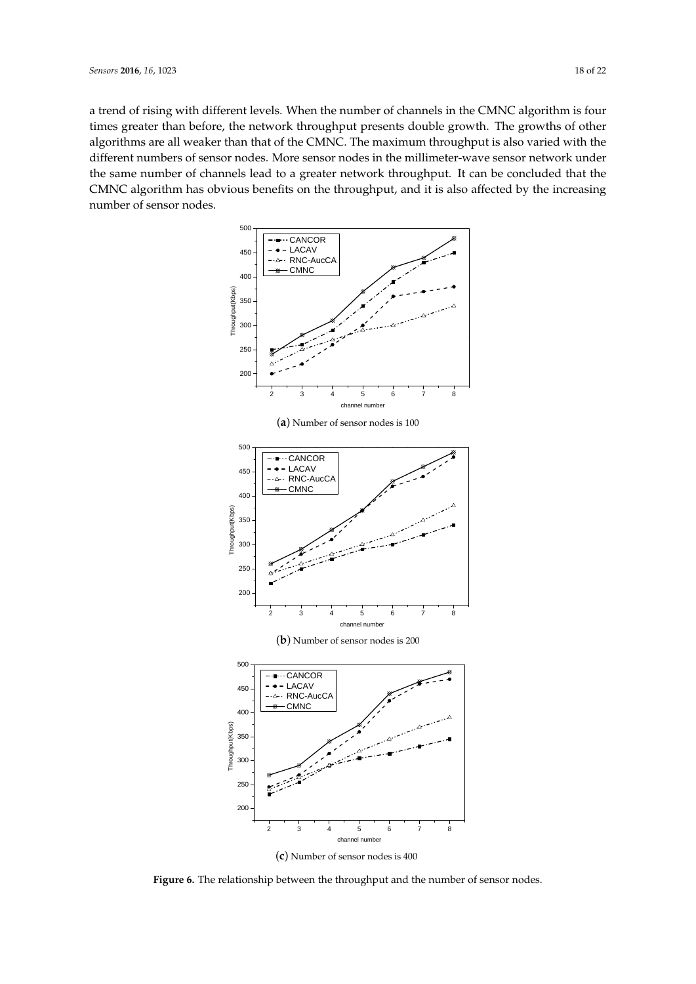<span id="page-17-0"></span>a trend of rising with different levels. When the number of channels in the CMNC algorithm is four times greater than before, the network throughput presents double growth. The growths of other algorithms are all weaker than that of the CMNC. The maximum throughput is also varied with the different numbers of sensor nodes. More sensor nodes in the millimeter-wave sensor network under the same number of channels lead to a greater network throughput. It can be concluded that the CMNC algorithm has obvious benefits on the throughput, and it is also affected by the increasing number of sensor nodes.



**Figure 6.** The relationship between the throughput and the number of sensor nodes.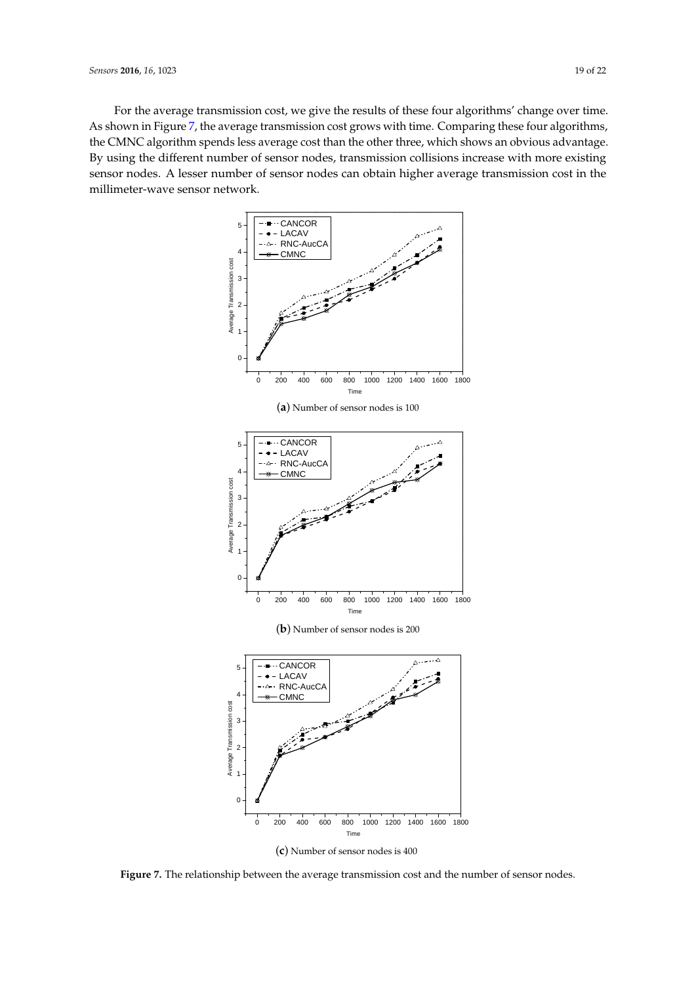<span id="page-18-0"></span>For the average transmission cost, we give the results of these four algorithms' change over time. As shown in Figure [7,](#page-18-0) the average transmission cost grows with time. Comparing these four algorithms, the CMNC algorithm spends less average cost than the other three, which shows an obvious advantage. By using the different number of sensor nodes, transmission collisions increase with more existing sensor nodes. A lesser number of sensor nodes can obtain higher average transmission cost in the millimeter-wave sensor network.



**Figure 7.** The relationship between the average transmission cost and the number of sensor nodes.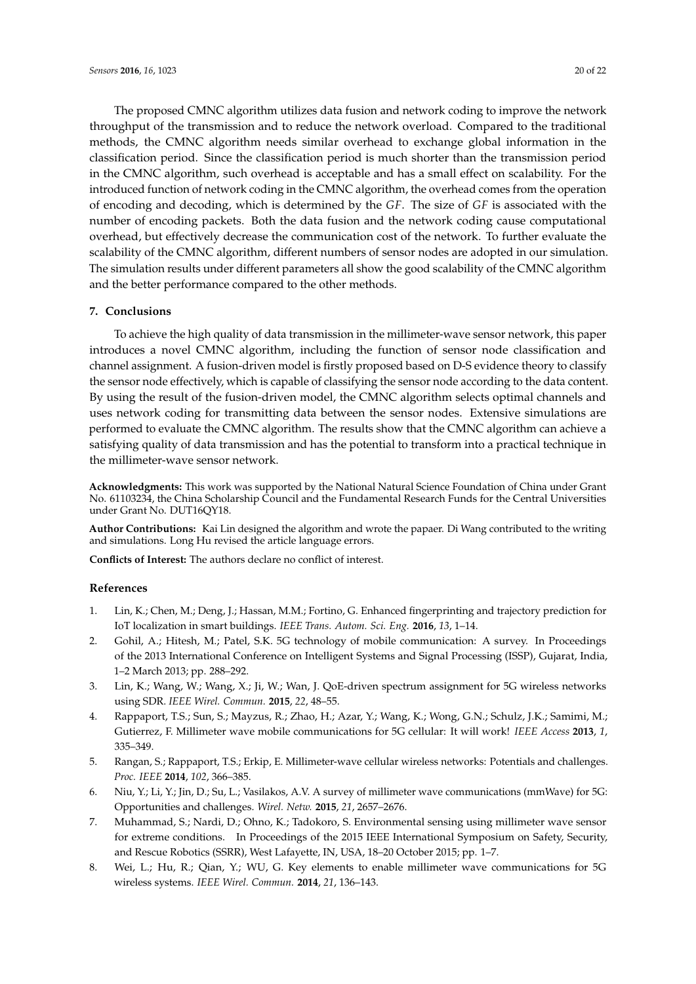The proposed CMNC algorithm utilizes data fusion and network coding to improve the network throughput of the transmission and to reduce the network overload. Compared to the traditional methods, the CMNC algorithm needs similar overhead to exchange global information in the classification period. Since the classification period is much shorter than the transmission period in the CMNC algorithm, such overhead is acceptable and has a small effect on scalability. For the introduced function of network coding in the CMNC algorithm, the overhead comes from the operation of encoding and decoding, which is determined by the *GF*. The size of *GF* is associated with the number of encoding packets. Both the data fusion and the network coding cause computational overhead, but effectively decrease the communication cost of the network. To further evaluate the scalability of the CMNC algorithm, different numbers of sensor nodes are adopted in our simulation. The simulation results under different parameters all show the good scalability of the CMNC algorithm and the better performance compared to the other methods.

# <span id="page-19-8"></span>**7. Conclusions**

To achieve the high quality of data transmission in the millimeter-wave sensor network, this paper introduces a novel CMNC algorithm, including the function of sensor node classification and channel assignment. A fusion-driven model is firstly proposed based on D-S evidence theory to classify the sensor node effectively, which is capable of classifying the sensor node according to the data content. By using the result of the fusion-driven model, the CMNC algorithm selects optimal channels and uses network coding for transmitting data between the sensor nodes. Extensive simulations are performed to evaluate the CMNC algorithm. The results show that the CMNC algorithm can achieve a satisfying quality of data transmission and has the potential to transform into a practical technique in the millimeter-wave sensor network.

**Acknowledgments:** This work was supported by the National Natural Science Foundation of China under Grant No. 61103234, the China Scholarship Council and the Fundamental Research Funds for the Central Universities under Grant No. DUT16QY18.

**Author Contributions:** Kai Lin designed the algorithm and wrote the papaer. Di Wang contributed to the writing and simulations. Long Hu revised the article language errors.

**Conflicts of Interest:** The authors declare no conflict of interest.

#### **References**

- <span id="page-19-0"></span>1. Lin, K.; Chen, M.; Deng, J.; Hassan, M.M.; Fortino, G. Enhanced fingerprinting and trajectory prediction for IoT localization in smart buildings. *IEEE Trans. Autom. Sci. Eng.* **2016**, *13*, 1–14.
- <span id="page-19-1"></span>2. Gohil, A.; Hitesh, M.; Patel, S.K. 5G technology of mobile communication: A survey. In Proceedings of the 2013 International Conference on Intelligent Systems and Signal Processing (ISSP), Gujarat, India, 1–2 March 2013; pp. 288–292.
- <span id="page-19-2"></span>3. Lin, K.; Wang, W.; Wang, X.; Ji, W.; Wan, J. QoE-driven spectrum assignment for 5G wireless networks using SDR. *IEEE Wirel. Commun.* **2015**, *22*, 48–55.
- <span id="page-19-3"></span>4. Rappaport, T.S.; Sun, S.; Mayzus, R.; Zhao, H.; Azar, Y.; Wang, K.; Wong, G.N.; Schulz, J.K.; Samimi, M.; Gutierrez, F. Millimeter wave mobile communications for 5G cellular: It will work! *IEEE Access* **2013**, *1*, 335–349.
- <span id="page-19-7"></span>5. Rangan, S.; Rappaport, T.S.; Erkip, E. Millimeter-wave cellular wireless networks: Potentials and challenges. *Proc. IEEE* **2014**, *102*, 366–385.
- <span id="page-19-4"></span>6. Niu, Y.; Li, Y.; Jin, D.; Su, L.; Vasilakos, A.V. A survey of millimeter wave communications (mmWave) for 5G: Opportunities and challenges. *Wirel. Netw.* **2015**, *21*, 2657–2676.
- <span id="page-19-5"></span>7. Muhammad, S.; Nardi, D.; Ohno, K.; Tadokoro, S. Environmental sensing using millimeter wave sensor for extreme conditions. In Proceedings of the 2015 IEEE International Symposium on Safety, Security, and Rescue Robotics (SSRR), West Lafayette, IN, USA, 18–20 October 2015; pp. 1–7.
- <span id="page-19-6"></span>8. Wei, L.; Hu, R.; Qian, Y.; WU, G. Key elements to enable millimeter wave communications for 5G wireless systems. *IEEE Wirel. Commun.* **2014**, *21*, 136–143.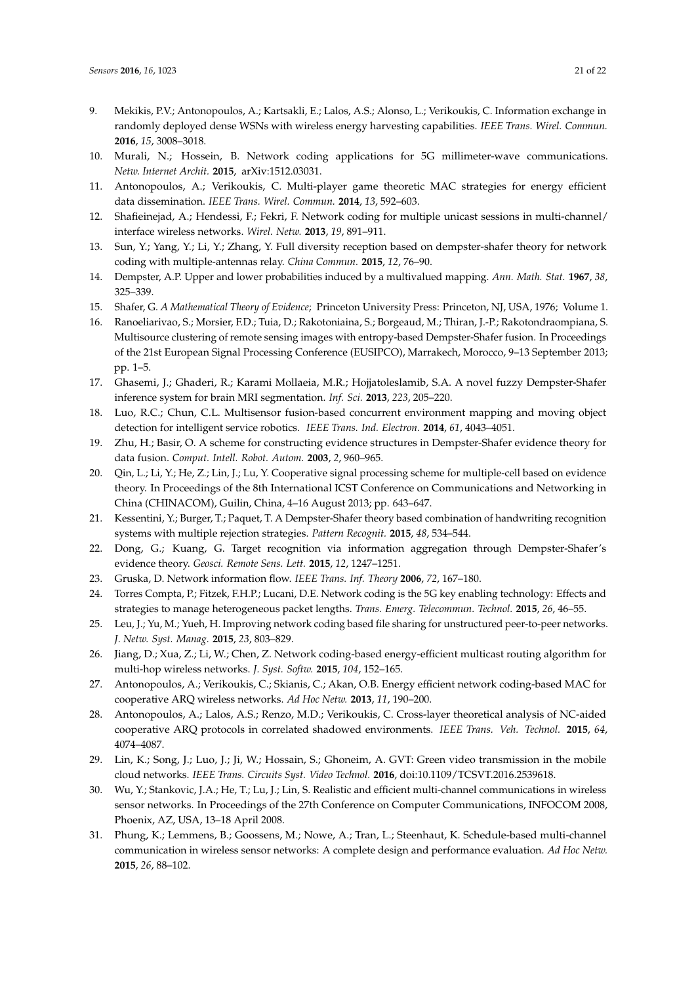- <span id="page-20-0"></span>9. Mekikis, P.V.; Antonopoulos, A.; Kartsakli, E.; Lalos, A.S.; Alonso, L.; Verikoukis, C. Information exchange in randomly deployed dense WSNs with wireless energy harvesting capabilities. *IEEE Trans. Wirel. Commun.* **2016**, *15*, 3008–3018.
- <span id="page-20-1"></span>10. Murali, N.; Hossein, B. Network coding applications for 5G millimeter-wave communications. *Netw. Internet Archit.* **2015**, arXiv:1512.03031.
- <span id="page-20-2"></span>11. Antonopoulos, A.; Verikoukis, C. Multi-player game theoretic MAC strategies for energy efficient data dissemination. *IEEE Trans. Wirel. Commun.* **2014**, *13*, 592–603.
- <span id="page-20-3"></span>12. Shafieinejad, A.; Hendessi, F.; Fekri, F. Network coding for multiple unicast sessions in multi-channel/ interface wireless networks. *Wirel. Netw.* **2013**, *19*, 891–911.
- <span id="page-20-4"></span>13. Sun, Y.; Yang, Y.; Li, Y.; Zhang, Y. Full diversity reception based on dempster-shafer theory for network coding with multiple-antennas relay. *China Commun.* **2015**, *12*, 76–90.
- <span id="page-20-5"></span>14. Dempster, A.P. Upper and lower probabilities induced by a multivalued mapping. *Ann. Math. Stat.* **1967**, *38*, 325–339.
- <span id="page-20-6"></span>15. Shafer, G. *A Mathematical Theory of Evidence*; Princeton University Press: Princeton, NJ, USA, 1976; Volume 1.
- <span id="page-20-7"></span>16. Ranoeliarivao, S.; Morsier, F.D.; Tuia, D.; Rakotoniaina, S.; Borgeaud, M.; Thiran, J.-P.; Rakotondraompiana, S. Multisource clustering of remote sensing images with entropy-based Dempster-Shafer fusion. In Proceedings of the 21st European Signal Processing Conference (EUSIPCO), Marrakech, Morocco, 9–13 September 2013; pp. 1–5.
- <span id="page-20-8"></span>17. Ghasemi, J.; Ghaderi, R.; Karami Mollaeia, M.R.; Hojjatoleslamib, S.A. A novel fuzzy Dempster-Shafer inference system for brain MRI segmentation. *Inf. Sci.* **2013**, *223*, 205–220.
- <span id="page-20-9"></span>18. Luo, R.C.; Chun, C.L. Multisensor fusion-based concurrent environment mapping and moving object detection for intelligent service robotics. *IEEE Trans. Ind. Electron.* **2014**, *61*, 4043–4051.
- <span id="page-20-10"></span>19. Zhu, H.; Basir, O. A scheme for constructing evidence structures in Dempster-Shafer evidence theory for data fusion. *Comput. Intell. Robot. Autom.* **2003**, *2*, 960–965.
- <span id="page-20-11"></span>20. Qin, L.; Li, Y.; He, Z.; Lin, J.; Lu, Y. Cooperative signal processing scheme for multiple-cell based on evidence theory. In Proceedings of the 8th International ICST Conference on Communications and Networking in China (CHINACOM), Guilin, China, 4–16 August 2013; pp. 643–647.
- <span id="page-20-12"></span>21. Kessentini, Y.; Burger, T.; Paquet, T. A Dempster-Shafer theory based combination of handwriting recognition systems with multiple rejection strategies. *Pattern Recognit.* **2015**, *48*, 534–544.
- <span id="page-20-13"></span>22. Dong, G.; Kuang, G. Target recognition via information aggregation through Dempster-Shafer's evidence theory. *Geosci. Remote Sens. Lett.* **2015**, *12*, 1247–1251.
- <span id="page-20-14"></span>23. Gruska, D. Network information flow. *IEEE Trans. Inf. Theory* **2006**, *72*, 167–180.
- <span id="page-20-15"></span>24. Torres Compta, P.; Fitzek, F.H.P.; Lucani, D.E. Network coding is the 5G key enabling technology: Effects and strategies to manage heterogeneous packet lengths. *Trans. Emerg. Telecommun. Technol.* **2015**, *26*, 46–55.
- <span id="page-20-16"></span>25. Leu, J.; Yu, M.; Yueh, H. Improving network coding based file sharing for unstructured peer-to-peer networks. *J. Netw. Syst. Manag.* **2015**, *23*, 803–829.
- <span id="page-20-17"></span>26. Jiang, D.; Xua, Z.; Li, W.; Chen, Z. Network coding-based energy-efficient multicast routing algorithm for multi-hop wireless networks. *J. Syst. Softw.* **2015**, *104*, 152–165.
- <span id="page-20-18"></span>27. Antonopoulos, A.; Verikoukis, C.; Skianis, C.; Akan, O.B. Energy efficient network coding-based MAC for cooperative ARQ wireless networks. *Ad Hoc Netw.* **2013**, *11*, 190–200.
- <span id="page-20-19"></span>28. Antonopoulos, A.; Lalos, A.S.; Renzo, M.D.; Verikoukis, C. Cross-layer theoretical analysis of NC-aided cooperative ARQ protocols in correlated shadowed environments. *IEEE Trans. Veh. Technol.* **2015**, *64*, 4074–4087.
- <span id="page-20-20"></span>29. Lin, K.; Song, J.; Luo, J.; Ji, W.; Hossain, S.; Ghoneim, A. GVT: Green video transmission in the mobile cloud networks. *IEEE Trans. Circuits Syst. Video Technol.* **2016**, doi:10.1109/TCSVT.2016.2539618.
- <span id="page-20-21"></span>30. Wu, Y.; Stankovic, J.A.; He, T.; Lu, J.; Lin, S. Realistic and efficient multi-channel communications in wireless sensor networks. In Proceedings of the 27th Conference on Computer Communications, INFOCOM 2008, Phoenix, AZ, USA, 13–18 April 2008.
- <span id="page-20-22"></span>31. Phung, K.; Lemmens, B.; Goossens, M.; Nowe, A.; Tran, L.; Steenhaut, K. Schedule-based multi-channel communication in wireless sensor networks: A complete design and performance evaluation. *Ad Hoc Netw.* **2015**, *26*, 88–102.